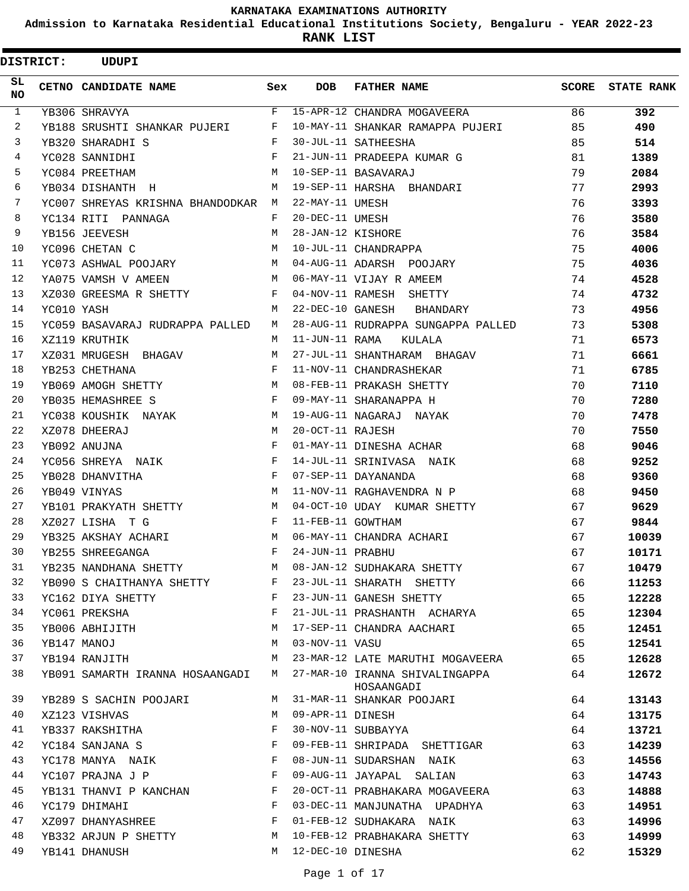**Admission to Karnataka Residential Educational Institutions Society, Bengaluru - YEAR 2022-23**

**RANK LIST**

| <b>DISTRICT:</b> |            | <b>UDUPI</b>                       |              |                   |                                              |    |                         |
|------------------|------------|------------------------------------|--------------|-------------------|----------------------------------------------|----|-------------------------|
| SL.<br>NO.       |            | <b>CETNO CANDIDATE NAME</b>        | Sex          | <b>DOB</b>        | <b>FATHER NAME</b>                           |    | <b>SCORE</b> STATE RANK |
| $\mathbf{1}$     |            | YB306 SHRAVYA                      | F            |                   | 15-APR-12 CHANDRA MOGAVEERA                  | 86 | 392                     |
| 2                |            | YB188 SRUSHTI SHANKAR PUJERI       | F            |                   | 10-MAY-11 SHANKAR RAMAPPA PUJERI             | 85 | 490                     |
| 3                |            | YB320 SHARADHI S                   | F            |                   | 30-JUL-11 SATHEESHA                          | 85 | 514                     |
| 4                |            | YC028 SANNIDHI                     | $_{\rm F}$   |                   | 21-JUN-11 PRADEEPA KUMAR G                   | 81 | 1389                    |
| 5                |            | YC084 PREETHAM                     | M            |                   | 10-SEP-11 BASAVARAJ                          | 79 | 2084                    |
| 6                |            | YB034 DISHANTH H                   | м            |                   | 19-SEP-11 HARSHA BHANDARI                    | 77 | 2993                    |
| 7                |            | YC007 SHREYAS KRISHNA BHANDODKAR M |              | 22-MAY-11 UMESH   |                                              | 76 | 3393                    |
| 8                |            | YC134 RITI PANNAGA                 | F            | 20-DEC-11 UMESH   |                                              | 76 | 3580                    |
| 9                |            | YB156 JEEVESH                      | M            | 28-JAN-12 KISHORE |                                              | 76 | 3584                    |
| 10               |            | YC096 CHETAN C                     | M            |                   | 10-JUL-11 CHANDRAPPA                         | 75 | 4006                    |
| 11               |            | YC073 ASHWAL POOJARY               | M            |                   | 04-AUG-11 ADARSH POOJARY                     | 75 | 4036                    |
| 12               |            | YA075 VAMSH V AMEEN                | M            |                   | 06-MAY-11 VIJAY R AMEEM                      | 74 | 4528                    |
| 13               |            | XZ030 GREESMA R SHETTY             | F            |                   | 04-NOV-11 RAMESH SHETTY                      | 74 | 4732                    |
| 14               | YC010 YASH |                                    | M            |                   | 22-DEC-10 GANESH BHANDARY                    | 73 | 4956                    |
| 15               |            | YC059 BASAVARAJ RUDRAPPA PALLED    | M            |                   | 28-AUG-11 RUDRAPPA SUNGAPPA PALLED           | 73 | 5308                    |
| 16               |            | XZ119 KRUTHIK                      | M            | 11-JUN-11 RAMA    | KULALA                                       | 71 | 6573                    |
| 17               |            | XZ031 MRUGESH BHAGAV               | M            |                   | 27-JUL-11 SHANTHARAM BHAGAV                  | 71 | 6661                    |
| 18               |            | YB253 CHETHANA                     | $_{\rm F}$   |                   | 11-NOV-11 CHANDRASHEKAR                      | 71 | 6785                    |
| 19               |            | YB069 AMOGH SHETTY                 | M            |                   | 08-FEB-11 PRAKASH SHETTY                     | 70 | 7110                    |
| 20               |            | YB035 HEMASHREE S                  | F            |                   | 09-MAY-11 SHARANAPPA H                       | 70 | 7280                    |
| 21               |            | YC038 KOUSHIK NAYAK                | M            |                   | 19-AUG-11 NAGARAJ NAYAK                      | 70 | 7478                    |
| 22               |            | XZ078 DHEERAJ                      | M            | 20-OCT-11 RAJESH  |                                              | 70 | 7550                    |
| 23               |            | YB092 ANUJNA                       | $_{\rm F}$   |                   | 01-MAY-11 DINESHA ACHAR                      | 68 | 9046                    |
| 24               |            | YC056 SHREYA NAIK                  | F            |                   | 14-JUL-11 SRINIVASA NAIK                     | 68 | 9252                    |
| 25               |            | YB028 DHANVITHA                    | $\mathbf{F}$ |                   | 07-SEP-11 DAYANANDA                          | 68 | 9360                    |
| 26               |            | YB049 VINYAS                       | М            |                   | 11-NOV-11 RAGHAVENDRA N P                    | 68 | 9450                    |
| 27               |            | YB101 PRAKYATH SHETTY              | M            |                   | 04-OCT-10 UDAY KUMAR SHETTY                  | 67 | 9629                    |
| 28               |            | XZ027 LISHA T G                    | $\mathbf{F}$ | 11-FEB-11 GOWTHAM |                                              | 67 | 9844                    |
| 29               |            | YB325 AKSHAY ACHARI                | M            |                   | 06-MAY-11 CHANDRA ACHARI                     | 67 | 10039                   |
| 30               |            | YB255 SHREEGANGA                   | F            | 24-JUN-11 PRABHU  |                                              | 67 | 10171                   |
| 31               |            | YB235 NANDHANA SHETTY              | M            |                   | 08-JAN-12 SUDHAKARA SHETTY                   | 67 | 10479                   |
| 32               |            | YB090 S CHAITHANYA SHETTY F        |              |                   | 23-JUL-11 SHARATH SHETTY                     | 66 | 11253                   |
| 33               |            | YC162 DIYA SHETTY                  | $\mathbf{F}$ |                   | 23-JUN-11 GANESH SHETTY                      | 65 | 12228                   |
| 34               |            | YC061 PREKSHA                      | F            |                   | 21-JUL-11 PRASHANTH ACHARYA                  | 65 | 12304                   |
| 35               |            | YB006 ABHIJITH                     | М            |                   | 17-SEP-11 CHANDRA AACHARI                    | 65 | 12451                   |
| 36               |            | YB147 MANOJ                        | M            | 03-NOV-11 VASU    |                                              | 65 | 12541                   |
| 37               |            | YB194 RANJITH                      | M            |                   | 23-MAR-12 LATE MARUTHI MOGAVEERA             | 65 | 12628                   |
| 38               |            | YB091 SAMARTH IRANNA HOSAANGADI M  |              |                   | 27-MAR-10 IRANNA SHIVALINGAPPA<br>HOSAANGADI | 64 | 12672                   |
| 39               |            | YB289 S SACHIN POOJARI             | M            |                   | 31-MAR-11 SHANKAR POOJARI                    | 64 | 13143                   |
| 40               |            | XZ123 VISHVAS                      | М            | 09-APR-11 DINESH  |                                              | 64 | 13175                   |
| 41               |            | YB337 RAKSHITHA                    | F            |                   | 30-NOV-11 SUBBAYYA                           | 64 | 13721                   |
| 42               |            | YC184 SANJANA S                    | F            |                   | 09-FEB-11 SHRIPADA SHETTIGAR                 | 63 | 14239                   |
| 43               |            | YC178 MANYA NAIK F                 |              |                   | 08-JUN-11 SUDARSHAN NAIK                     | 63 | 14556                   |
| 44               |            | YC107 PRAJNA J P                   | $\mathbf{F}$ |                   | 09-AUG-11 JAYAPAL SALIAN                     | 63 | 14743                   |
| 45               |            | YB131 THANVI P KANCHAN F           |              |                   | 20-OCT-11 PRABHAKARA MOGAVEERA               | 63 | 14888                   |
| 46               |            | YC179 DHIMAHI                      | F            |                   | 03-DEC-11 MANJUNATHA UPADHYA                 | 63 | 14951                   |
| 47               |            | XZ097 DHANYASHREE                  | $\mathbf{F}$ |                   | 01-FEB-12 SUDHAKARA NAIK                     | 63 | 14996                   |
| 48               |            | YB332 ARJUN P SHETTY               | М            |                   | 10-FEB-12 PRABHAKARA SHETTY                  | 63 | 14999                   |
| 49               |            | YB141 DHANUSH                      | M            | 12-DEC-10 DINESHA |                                              | 62 | 15329                   |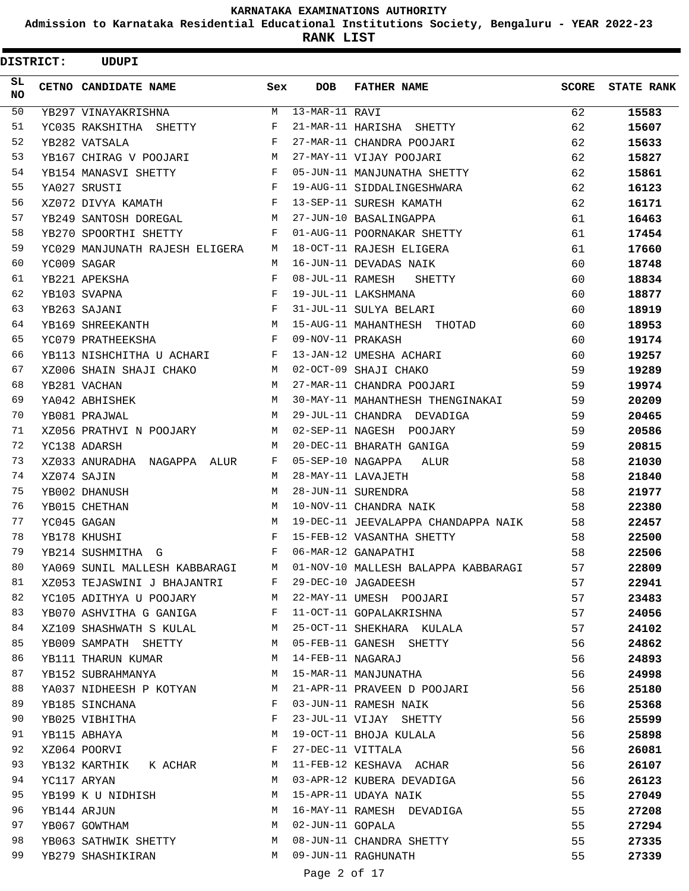**Admission to Karnataka Residential Educational Institutions Society, Bengaluru - YEAR 2022-23**

| <b>DISTRICT:</b> | <b>UDUPI</b>                         |              |                   |                                     |              |                   |
|------------------|--------------------------------------|--------------|-------------------|-------------------------------------|--------------|-------------------|
| SL<br>NO.        | CETNO CANDIDATE NAME                 | Sex          | DOB               | <b>FATHER NAME</b>                  | <b>SCORE</b> | <b>STATE RANK</b> |
| 50               | YB297 VINAYAKRISHNA                  | M            | $13-MAR-11$ RAVI  |                                     | 62           | 15583             |
| 51               | YC035 RAKSHITHA SHETTY               | F            |                   | 21-MAR-11 HARISHA SHETTY            | 62           | 15607             |
| 52               | YB282 VATSALA                        | F            |                   | 27-MAR-11 CHANDRA POOJARI           | 62           | 15633             |
| 53               | YB167 CHIRAG V POOJARI               | М            |                   | 27-MAY-11 VIJAY POOJARI             | 62           | 15827             |
| 54               | YB154 MANASVI SHETTY                 | F            |                   | 05-JUN-11 MANJUNATHA SHETTY         | 62           | 15861             |
| 55               | YA027 SRUSTI                         | F            |                   | 19-AUG-11 SIDDALINGESHWARA          | 62           | 16123             |
| 56               | XZ072 DIVYA KAMATH                   | F            |                   | 13-SEP-11 SURESH KAMATH             | 62           | 16171             |
| 57               | YB249 SANTOSH DOREGAL                | М            |                   | 27-JUN-10 BASALINGAPPA              | 61           | 16463             |
| 58               | YB270 SPOORTHI SHETTY                | F            |                   | 01-AUG-11 POORNAKAR SHETTY          | 61           | 17454             |
| 59               | YC029 MANJUNATH RAJESH ELIGERA       | М            |                   | 18-OCT-11 RAJESH ELIGERA            | 61           | 17660             |
| 60               | YC009 SAGAR                          | М            |                   | 16-JUN-11 DEVADAS NAIK              | 60           | 18748             |
| 61               | YB221 APEKSHA                        | F            | 08-JUL-11 RAMESH  | SHETTY                              | 60           | 18834             |
| 62               | YB103 SVAPNA                         | F            |                   | 19-JUL-11 LAKSHMANA                 | 60           | 18877             |
| 63               | YB263 SAJANI                         | F            |                   | 31-JUL-11 SULYA BELARI              | 60           | 18919             |
| 64               | YB169 SHREEKANTH                     | M            |                   | 15-AUG-11 MAHANTHESH THOTAD         | 60           | 18953             |
| 65               | YC079 PRATHEEKSHA                    | F            | 09-NOV-11 PRAKASH |                                     | 60           | 19174             |
| 66               | YB113 NISHCHITHA U ACHARI            | F            |                   | 13-JAN-12 UMESHA ACHARI             | 60           | 19257             |
| 67               | XZ006 SHAIN SHAJI CHAKO              | М            |                   | 02-OCT-09 SHAJI CHAKO               | 59           | 19289             |
| 68               | YB281 VACHAN                         | M            |                   | 27-MAR-11 CHANDRA POOJARI           | 59           | 19974             |
| 69               | YA042 ABHISHEK                       | M            |                   | 30-MAY-11 MAHANTHESH THENGINAKAI    | 59           | 20209             |
| 70               | YB081 PRAJWAL                        | M            |                   | 29-JUL-11 CHANDRA DEVADIGA          | 59           | 20465             |
| 71               | XZ056 PRATHVI N POOJARY              | М            |                   | 02-SEP-11 NAGESH POOJARY            | 59           | 20586             |
| 72               | YC138 ADARSH                         | М            |                   | 20-DEC-11 BHARATH GANIGA            | 59           | 20815             |
| 73               | XZ033 ANURADHA NAGAPPA ALUR          | F            | 05-SEP-10 NAGAPPA | ALUR                                | 58           | 21030             |
| 74               | XZ074 SAJIN                          | М            |                   | 28-MAY-11 LAVAJETH                  | 58           | 21840             |
| 75               | YB002 DHANUSH                        | М            |                   | 28-JUN-11 SURENDRA                  | 58           | 21977             |
| 76               | YB015 CHETHAN                        | M            |                   | 10-NOV-11 CHANDRA NAIK              | 58           | 22380             |
| 77               | YC045 GAGAN                          | M            |                   | 19-DEC-11 JEEVALAPPA CHANDAPPA NAIK | 58           | 22457             |
| 78               | YB178 KHUSHI                         | F            |                   | 15-FEB-12 VASANTHA SHETTY           | 58           | 22500             |
| 79               | YB214 SUSHMITHA G                    | F            |                   | 06-MAR-12 GANAPATHI                 | 58           | 22506             |
| 80               | YA069 SUNIL MALLESH KABBARAGI        | M            |                   | 01-NOV-10 MALLESH BALAPPA KABBARAGI | 57           | 22809             |
| 81               | XZ053 TEJASWINI J BHAJANTRI          | F            |                   | 29-DEC-10 JAGADEESH                 | 57           | 22941             |
| 82               | YC105 ADITHYA U POOJARY              | M            |                   | 22-MAY-11 UMESH POOJARI             | 57           | 23483             |
| 83               | YB070 ASHVITHA G GANIGA              | $\mathbf{F}$ |                   | 11-OCT-11 GOPALAKRISHNA             | 57           | 24056             |
| 84               | XZ109 SHASHWATH S KULAL M            |              |                   | 25-OCT-11 SHEKHARA KULALA           | 57           | 24102             |
| 85               | YB009 SAMPATH SHETTY                 | M            |                   | 05-FEB-11 GANESH SHETTY             | 56           | 24862             |
| 86               | YB111 THARUN KUMAR                   | M            |                   | 14-FEB-11 NAGARAJ                   | 56           | 24893             |
| 87               | YB152 SUBRAHMANYA                    | М            |                   | 15-MAR-11 MANJUNATHA                | 56           | 24998             |
| 88               | YA037 NIDHEESH P KOTYAN              | M            |                   | 21-APR-11 PRAVEEN D POOJARI         | 56           | 25180             |
| 89               | YB185 SINCHANA                       | F            |                   | 03-JUN-11 RAMESH NAIK               | 56           | 25368             |
| 90               | <b>Example 2</b> F<br>YB025 VIBHITHA |              |                   | 23-JUL-11 VIJAY SHETTY              | 56           | 25599             |
| 91               | YB115 ABHAYA                         | M            |                   | 19-OCT-11 BHOJA KULALA              | 56           | 25898             |
| 92               | XZ064 POORVI                         | F            |                   | 27-DEC-11 VITTALA                   | 56           | 26081             |
| 93               | YB132 KARTHIK K ACHAR M              |              |                   | 11-FEB-12 KESHAVA ACHAR             | 56           | 26107             |
| 94               | YC117 ARYAN                          | M            |                   | 03-APR-12 KUBERA DEVADIGA           | 56           | 26123             |
| 95               | YB199 K U NIDHISH                    | М            |                   | 15-APR-11 UDAYA NAIK                | 55           | 27049             |
| 96               | YB144 ARJUN                          | М            |                   | 16-MAY-11 RAMESH DEVADIGA           | 55           | 27208             |
| 97               | YB067 GOWTHAM                        | M            | 02-JUN-11 GOPALA  |                                     | 55           | 27294             |
| 98               | YB063 SATHWIK SHETTY                 | M            |                   | 08-JUN-11 CHANDRA SHETTY            | 55           | 27335             |
| 99               | YB279 SHASHIKIRAN                    | M            |                   | 09-JUN-11 RAGHUNATH                 | 55           | 27339             |
|                  |                                      |              | Page 2 of 17      |                                     |              |                   |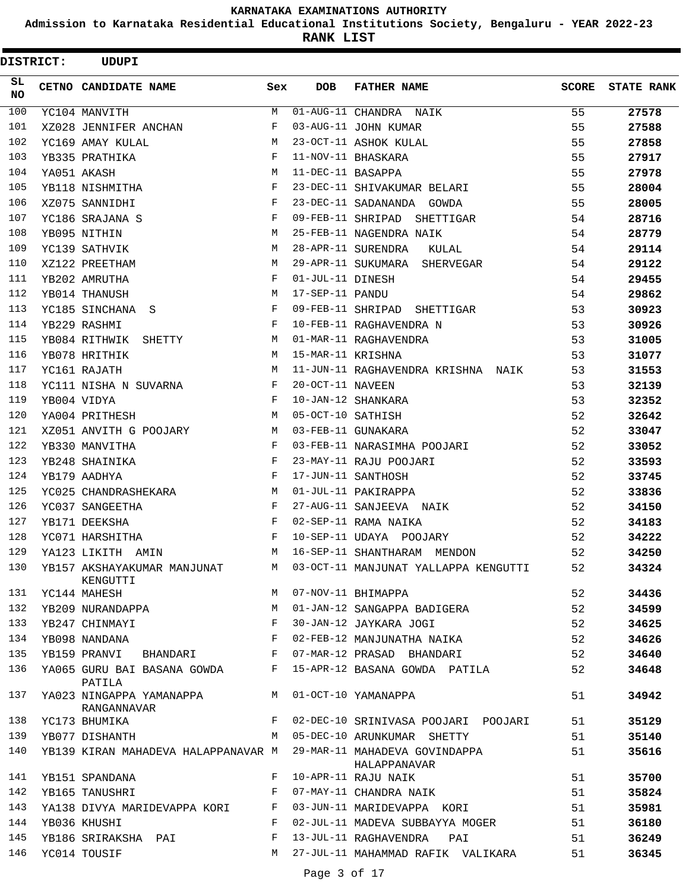**Admission to Karnataka Residential Educational Institutions Society, Bengaluru - YEAR 2022-23**

**RANK LIST**

| <b>DISTRICT:</b> | <b>UDUPI</b>                        |              |                   |                                      |       |                   |
|------------------|-------------------------------------|--------------|-------------------|--------------------------------------|-------|-------------------|
| SL.<br>NO.       | CETNO CANDIDATE NAME                | Sex          | <b>DOB</b>        | <b>FATHER NAME</b>                   | SCORE | <b>STATE RANK</b> |
| 100              | YC104 MANVITH                       | М            |                   | 01-AUG-11 CHANDRA NAIK               | 55    | 27578             |
| 101              | XZ028 JENNIFER ANCHAN               | F            |                   | 03-AUG-11 JOHN KUMAR                 | 55    | 27588             |
| 102              | YC169 AMAY KULAL                    | M            |                   | 23-OCT-11 ASHOK KULAL                | 55    | 27858             |
| 103              | YB335 PRATHIKA                      | F            |                   | 11-NOV-11 BHASKARA                   | 55    | 27917             |
| 104              | YA051 AKASH                         | M            | 11-DEC-11 BASAPPA |                                      | 55    | 27978             |
| 105              | YB118 NISHMITHA                     | F            |                   | 23-DEC-11 SHIVAKUMAR BELARI          | 55    | 28004             |
| 106              | XZ075 SANNIDHI                      | F            |                   | 23-DEC-11 SADANANDA GOWDA            | 55    | 28005             |
| 107              | YC186 SRAJANA S                     | F            |                   | 09-FEB-11 SHRIPAD SHETTIGAR          | 54    | 28716             |
| 108              | YB095 NITHIN                        | M            |                   | 25-FEB-11 NAGENDRA NAIK              | 54    | 28779             |
| 109              | YC139 SATHVIK                       | М            |                   | 28-APR-11 SURENDRA<br>KULAL          | 54    | 29114             |
| 110              | XZ122 PREETHAM                      | M            |                   | 29-APR-11 SUKUMARA SHERVEGAR         | 54    | 29122             |
| 111              | YB202 AMRUTHA                       | F            | 01-JUL-11 DINESH  |                                      | 54    | 29455             |
| 112              | YB014 THANUSH                       | M            | 17-SEP-11 PANDU   |                                      | 54    | 29862             |
| 113              | YC185 SINCHANA S                    | F            |                   | 09-FEB-11 SHRIPAD SHETTIGAR          | 53    | 30923             |
| 114              | YB229 RASHMI                        | F            |                   | 10-FEB-11 RAGHAVENDRA N              | 53    | 30926             |
| 115              | YB084 RITHWIK SHETTY                | М            |                   | 01-MAR-11 RAGHAVENDRA                | 53    | 31005             |
| 116              | YB078 HRITHIK                       | M            | 15-MAR-11 KRISHNA |                                      | 53    | 31077             |
| 117              | YC161 RAJATH                        | M            |                   | 11-JUN-11 RAGHAVENDRA KRISHNA NAIK   | 53    | 31553             |
| 118              | YC111 NISHA N SUVARNA               | F            | 20-OCT-11 NAVEEN  |                                      | 53    | 32139             |
| 119              | YB004 VIDYA                         | F            |                   | 10-JAN-12 SHANKARA                   | 53    | 32352             |
| 120              | YA004 PRITHESH                      | M            | 05-OCT-10 SATHISH |                                      | 52    | 32642             |
| 121              | XZ051 ANVITH G POOJARY              | М            |                   | 03-FEB-11 GUNAKARA                   | 52    | 33047             |
| 122              | YB330 MANVITHA                      | F            |                   | 03-FEB-11 NARASIMHA POOJARI          | 52    | 33052             |
| 123              | YB248 SHAINIKA                      | F            |                   | 23-MAY-11 RAJU POOJARI               | 52    | 33593             |
| 124              | YB179 AADHYA                        | F            |                   | 17-JUN-11 SANTHOSH                   | 52    | 33745             |
| 125              | YC025 CHANDRASHEKARA                | М            |                   | 01-JUL-11 PAKIRAPPA                  | 52    | 33836             |
| 126              | YC037 SANGEETHA                     | F            |                   | 27-AUG-11 SANJEEVA NAIK              | 52    | 34150             |
| 127              | YB171 DEEKSHA                       | F            |                   | 02-SEP-11 RAMA NAIKA                 | 52    | 34183             |
| 128              | YC071 HARSHITHA                     | F            |                   | 10-SEP-11 UDAYA POOJARY              | 52    | 34222             |
| 129              | YA123 LIKITH AMIN                   | M            |                   | 16-SEP-11 SHANTHARAM MENDON          | 52    | 34250             |
| 130              | YB157 AKSHAYAKUMAR MANJUNAT         | M            |                   | 03-OCT-11 MANJUNAT YALLAPPA KENGUTTI | 52    | 34324             |
| 131              | KENGUTTI<br>YC144 MAHESH            | M            |                   | 07-NOV-11 BHIMAPPA                   | 52    | 34436             |
| 132              | YB209 NURANDAPPA                    | М            |                   | 01-JAN-12 SANGAPPA BADIGERA          | 52    | 34599             |
| 133              | YB247 CHINMAYI                      | F            |                   | 30-JAN-12 JAYKARA JOGI               | 52    | 34625             |
| 134              | YB098 NANDANA                       | F            |                   | 02-FEB-12 MANJUNATHA NAIKA           | 52    | 34626             |
| 135              | YB159 PRANVI BHANDARI               | $\mathbf{F}$ |                   | 07-MAR-12 PRASAD BHANDARI            | 52    |                   |
| 136              | YA065 GURU BAI BASANA GOWDA         | F            |                   | 15-APR-12 BASANA GOWDA PATILA        | 52    | 34640             |
| 137              | PATILA<br>YA023 NINGAPPA YAMANAPPA  | M            |                   | 01-OCT-10 YAMANAPPA                  | 51    | 34648<br>34942    |
| 138              | RANGANNAVAR<br>YC173 BHUMIKA        | F            |                   | 02-DEC-10 SRINIVASA POOJARI POOJARI  | 51    | 35129             |
| 139              | YB077 DISHANTH                      | M            |                   | 05-DEC-10 ARUNKUMAR SHETTY           | 51    | 35140             |
| 140              | YB139 KIRAN MAHADEVA HALAPPANAVAR M |              |                   | 29-MAR-11 MAHADEVA GOVINDAPPA        | 51    | 35616             |
|                  |                                     |              |                   | HALAPPANAVAR                         |       |                   |
| 141              | YB151 SPANDANA                      | F            |                   | 10-APR-11 RAJU NAIK                  | 51    | 35700             |
| 142              | YB165 TANUSHRI                      | F            |                   | 07-MAY-11 CHANDRA NAIK               | 51    | 35824             |
| 143              | YA138 DIVYA MARIDEVAPPA KORI        | F            |                   | 03-JUN-11 MARIDEVAPPA KORI           | 51    | 35981             |
| 144              | YB036 KHUSHI                        | F            |                   | 02-JUL-11 MADEVA SUBBAYYA MOGER      | 51    | 36180             |
| 145              | YB186 SRIRAKSHA PAI                 | F            |                   | 13-JUL-11 RAGHAVENDRA PAI            | 51    | 36249             |
| 146              | YC014 TOUSIF                        | М            |                   | 27-JUL-11 MAHAMMAD RAFIK VALIKARA    | 51    | 36345             |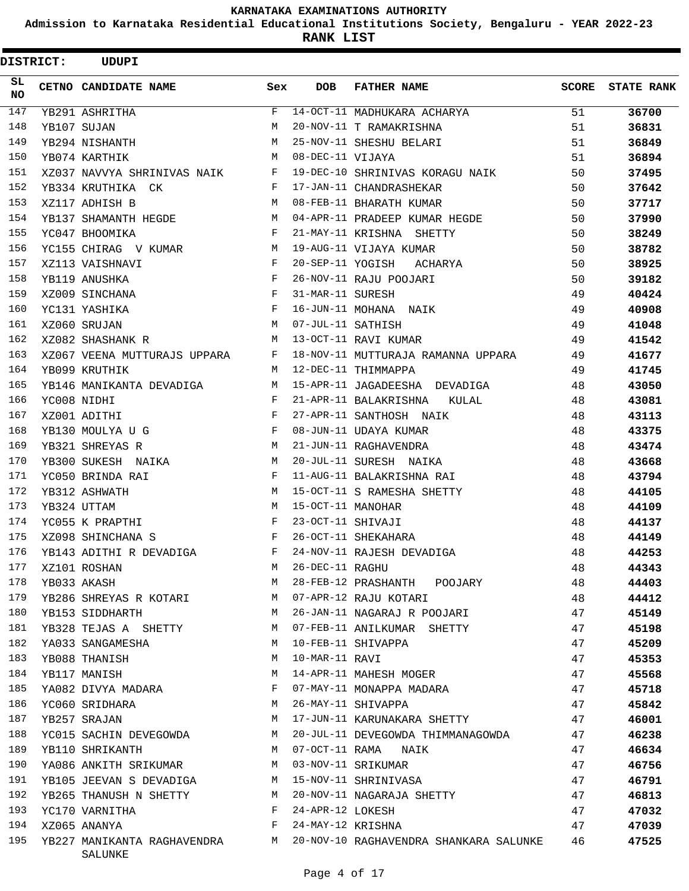**Admission to Karnataka Residential Educational Institutions Society, Bengaluru - YEAR 2022-23**

|            | <b>DISTRICT:</b> | <b>UDUPI</b>                 |                                                |                   |                                                                      |              |                   |
|------------|------------------|------------------------------|------------------------------------------------|-------------------|----------------------------------------------------------------------|--------------|-------------------|
| SL.<br>NO. |                  | CETNO CANDIDATE NAME         | Sex                                            | <b>DOB</b>        | <b>FATHER NAME</b>                                                   | <b>SCORE</b> | <b>STATE RANK</b> |
| 147        |                  | YB291 ASHRITHA               | F                                              |                   | 14-OCT-11 MADHUKARA ACHARYA                                          | 51           | 36700             |
| 148        |                  | YB107 SUJAN                  | M                                              |                   | 20-NOV-11 T RAMAKRISHNA                                              | 51           | 36831             |
| 149        |                  | YB294 NISHANTH               | M                                              |                   | 25-NOV-11 SHESHU BELARI                                              | 51           | 36849             |
| 150        |                  | YB074 KARTHIK                | М                                              | 08-DEC-11 VIJAYA  |                                                                      | 51           | 36894             |
| 151        |                  | XZ037 NAVVYA SHRINIVAS NAIK  | $\mathbf{F}$ and $\mathbf{F}$ and $\mathbf{F}$ |                   | 19-DEC-10 SHRINIVAS KORAGU NAIK                                      | 50           | 37495             |
| 152        |                  | YB334 KRUTHIKA CK            | $\mathbf{F}$                                   |                   | 17-JAN-11 CHANDRASHEKAR                                              | 50           | 37642             |
| 153        |                  | XZ117 ADHISH B               | M                                              |                   | 08-FEB-11 BHARATH KUMAR                                              | 50           | 37717             |
| 154        |                  | YB137 SHAMANTH HEGDE         | M                                              |                   | 04-APR-11 PRADEEP KUMAR HEGDE                                        | 50           | 37990             |
| 155        |                  | YC047 BHOOMIKA               | F                                              |                   | 21-MAY-11 KRISHNA SHETTY                                             | 50           | 38249             |
| 156        |                  | YC155 CHIRAG V KUMAR         | М                                              |                   | 19-AUG-11 VIJAYA KUMAR                                               | 50           | 38782             |
| 157        |                  | XZ113 VAISHNAVI              | F                                              | 20-SEP-11 YOGISH  | <b>ACHARYA</b>                                                       | 50           | 38925             |
| 158        |                  | YB119 ANUSHKA                | F                                              |                   | 26-NOV-11 RAJU POOJARI                                               | 50           | 39182             |
| 159        |                  | XZ009 SINCHANA               | F                                              | 31-MAR-11 SURESH  |                                                                      | 49           | 40424             |
| 160        |                  | YC131 YASHIKA                | F                                              |                   | 16-JUN-11 MOHANA NAIK                                                | 49           | 40908             |
| 161        |                  | XZ060 SRUJAN                 | M                                              | 07-JUL-11 SATHISH |                                                                      | 49           | 41048             |
| 162        |                  | XZ082 SHASHANK R             | М                                              |                   | 13-OCT-11 RAVI KUMAR                                                 | 49           | 41542             |
| 163        |                  | XZ067 VEENA MUTTURAJS UPPARA | F                                              |                   | 18-NOV-11 MUTTURAJA RAMANNA UPPARA                                   | 49           | 41677             |
| 164        |                  | YB099 KRUTHIK                | М                                              |                   | 12-DEC-11 THIMMAPPA                                                  | 49           | 41745             |
| 165        |                  | YB146 MANIKANTA DEVADIGA     | M                                              |                   | 15-APR-11 JAGADEESHA DEVADIGA                                        | 48           | 43050             |
| 166        |                  | YC008 NIDHI                  | F                                              |                   | 21-APR-11 BALAKRISHNA<br>KULAL                                       | 48           | 43081             |
| 167        |                  | XZ001 ADITHI                 | F                                              |                   | 27-APR-11 SANTHOSH NAIK                                              | 48           | 43113             |
| 168        |                  | YB130 MOULYA U G             | $\mathbf{F}$                                   |                   | 08-JUN-11 UDAYA KUMAR                                                | 48           | 43375             |
| 169        |                  | YB321 SHREYAS R              | M                                              |                   | 21-JUN-11 RAGHAVENDRA                                                | 48           | 43474             |
| 170        |                  | YB300 SUKESH NAIKA           | М                                              |                   | 20-JUL-11 SURESH NAIKA                                               | 48           | 43668             |
| 171        |                  | YC050 BRINDA RAI             | F                                              |                   | 11-AUG-11 BALAKRISHNA RAI                                            |              |                   |
| 172        |                  |                              |                                                |                   |                                                                      | 48           | 43794             |
|            |                  | YB312 ASHWATH                | M                                              |                   | 15-OCT-11 S RAMESHA SHETTY                                           | 48           | 44105             |
| 173        |                  | YB324 UTTAM                  | M                                              | 15-OCT-11 MANOHAR |                                                                      | 48           | 44109             |
| 174        |                  | YC055 K PRAPTHI              | F                                              | 23-OCT-11 SHIVAJI |                                                                      | 48           | 44137             |
| 175        |                  | XZ098 SHINCHANA S            | $\mathbf{F}$                                   |                   | 26-OCT-11 SHEKAHARA                                                  | 48           | 44149             |
| 176        |                  | YB143 ADITHI R DEVADIGA      | F                                              |                   | 24-NOV-11 RAJESH DEVADIGA                                            | 48           | 44253             |
| 177        |                  | XZ101 ROSHAN                 | M                                              | 26-DEC-11 RAGHU   |                                                                      | 48           | 44343             |
| 178        |                  | YB033 AKASH                  | M                                              |                   | 28-FEB-12 PRASHANTH POOJARY                                          | 48           | 44403             |
| 179        |                  | YB286 SHREYAS R KOTARI       | M                                              |                   | 07-APR-12 RAJU KOTARI                                                | 48           | 44412             |
| 180        |                  | YB153 SIDDHARTH              | M                                              |                   | 26-JAN-11 NAGARAJ R POOJARI                                          | 47           | 45149             |
| 181        |                  | YB328 TEJAS A SHETTY         | M                                              |                   | 07-FEB-11 ANILKUMAR SHETTY                                           | 47           | 45198             |
| 182        |                  | YA033 SANGAMESHA             | М                                              |                   | 10-FEB-11 SHIVAPPA                                                   | 47           | 45209             |
| 183        |                  | YB088 THANISH                | M                                              | 10-MAR-11 RAVI    |                                                                      | 47           | 45353             |
| 184        |                  | YB117 MANISH                 | M                                              |                   | 14-APR-11 MAHESH MOGER                                               | 47           | 45568             |
| 185        |                  | YA082 DIVYA MADARA           | F                                              |                   | 07-MAY-11 MONAPPA MADARA                                             | 47           | 45718             |
| 186        |                  | YC060 SRIDHARA               | М                                              |                   | 26-MAY-11 SHIVAPPA                                                   | 47           | 45842             |
| 187        |                  | YB257 SRAJAN                 | M                                              |                   | 17-JUN-11 KARUNAKARA SHETTY                                          | 47           | 46001             |
| 188        |                  | YC015 SACHIN DEVEGOWDA M     |                                                |                   | 20-JUL-11 DEVEGOWDA THIMMANAGOWDA                                    | 47           | 46238             |
| 189        |                  | YB110 SHRIKANTH              | M                                              |                   | 07-OCT-11 RAMA NAIK                                                  | 47           | 46634             |
| 190        |                  | YA086 ANKITH SRIKUMAR        | M                                              |                   | 03-NOV-11 SRIKUMAR                                                   | 47           | 46756             |
| 191        |                  | YB105 JEEVAN S DEVADIGA      | M                                              |                   | 15-NOV-11 SHRINIVASA                                                 | 47           | 46791             |
| 192        |                  | YB265 THANUSH N SHETTY       | М                                              |                   | 20-NOV-11 NAGARAJA SHETTY                                            | 47           | 46813             |
| 193        |                  | YC170 VARNITHA               | F                                              | 24-APR-12 LOKESH  |                                                                      | 47           | 47032             |
| 194        |                  | XZ065 ANANYA                 | F                                              | 24-MAY-12 KRISHNA |                                                                      | 47           | 47039             |
| 195        |                  | SALUNKE                      |                                                |                   | YB227 MANIKANTA RAGHAVENDRA M 20-NOV-10 RAGHAVENDRA SHANKARA SALUNKE | 46           | 47525             |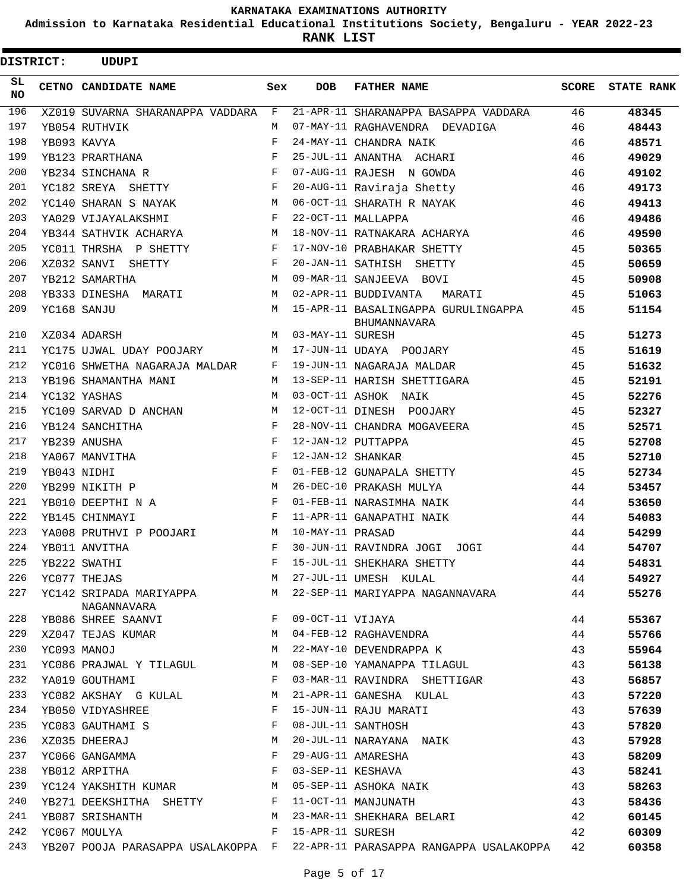**Admission to Karnataka Residential Educational Institutions Society, Bengaluru - YEAR 2022-23**

| <b>DISTRICT:</b> | <b>UDUPI</b>                           |            |                   |                                                            |              |                   |
|------------------|----------------------------------------|------------|-------------------|------------------------------------------------------------|--------------|-------------------|
| SL.<br>NO.       | CETNO CANDIDATE NAME                   | Sex        | <b>DOB</b>        | <b>FATHER NAME</b>                                         | <b>SCORE</b> | <b>STATE RANK</b> |
| 196              | XZ019 SUVARNA SHARANAPPA VADDARA       | F          |                   | 21-APR-11 SHARANAPPA BASAPPA VADDARA                       | 46           | 48345             |
| 197              | YB054 RUTHVIK                          | M          |                   | 07-MAY-11 RAGHAVENDRA DEVADIGA                             | 46           | 48443             |
| 198              | YB093 KAVYA                            | $_{\rm F}$ |                   | 24-MAY-11 CHANDRA NAIK                                     | 46           | 48571             |
| 199              | YB123 PRARTHANA                        | F          |                   | 25-JUL-11 ANANTHA ACHARI                                   | 46           | 49029             |
| 200              | YB234 SINCHANA R                       | F          |                   | 07-AUG-11 RAJESH N GOWDA                                   | 46           | 49102             |
| 201              | YC182 SREYA SHETTY                     | F          |                   | 20-AUG-11 Raviraja Shetty                                  | 46           | 49173             |
| 202              | YC140 SHARAN S NAYAK                   | м          |                   | 06-OCT-11 SHARATH R NAYAK                                  | 46           | 49413             |
| 203              | YA029 VIJAYALAKSHMI                    | F          |                   | 22-OCT-11 MALLAPPA                                         | 46           | 49486             |
| 204              | YB344 SATHVIK ACHARYA                  | М          |                   | 18-NOV-11 RATNAKARA ACHARYA                                | 46           | 49590             |
| 205              | YC011 THRSHA P SHETTY                  | F          |                   | 17-NOV-10 PRABHAKAR SHETTY                                 | 45           | 50365             |
| 206              | XZ032 SANVI SHETTY                     | F          |                   | 20-JAN-11 SATHISH SHETTY                                   | 45           | 50659             |
| 207              | YB212 SAMARTHA                         | M          |                   | 09-MAR-11 SANJEEVA BOVI                                    | 45           | 50908             |
| 208              | YB333 DINESHA MARATI                   | M          |                   | 02-APR-11 BUDDIVANTA<br>MARATI                             | 45           | 51063             |
| 209              | YC168 SANJU                            | M          |                   | 15-APR-11 BASALINGAPPA GURULINGAPPA<br><b>BHUMANNAVARA</b> | 45           | 51154             |
| 210              | XZ034 ADARSH                           | M          | 03-MAY-11 SURESH  |                                                            | 45           | 51273             |
| 211              | YC175 UJWAL UDAY POOJARY               | М          |                   | 17-JUN-11 UDAYA POOJARY                                    | 45           | 51619             |
| 212              | YC016 SHWETHA NAGARAJA MALDAR          | F          |                   | 19-JUN-11 NAGARAJA MALDAR                                  | 45           | 51632             |
| 213              | YB196 SHAMANTHA MANI                   | М          |                   | 13-SEP-11 HARISH SHETTIGARA                                | 45           | 52191             |
| 214              | YC132 YASHAS                           | M          |                   | 03-OCT-11 ASHOK NAIK                                       | 45           | 52276             |
| 215              | YC109 SARVAD D ANCHAN                  | M          |                   | 12-OCT-11 DINESH POOJARY                                   | 45           | 52327             |
| 216              | YB124 SANCHITHA                        | F          |                   | 28-NOV-11 CHANDRA MOGAVEERA                                | 45           | 52571             |
| 217              | YB239 ANUSHA                           | F          |                   | 12-JAN-12 PUTTAPPA                                         | 45           | 52708             |
| 218              | YA067 MANVITHA                         | F          | 12-JAN-12 SHANKAR |                                                            | 45           | 52710             |
| 219              | YB043 NIDHI                            | F          |                   | 01-FEB-12 GUNAPALA SHETTY                                  | 45           | 52734             |
| 220              | YB299 NIKITH P                         | M          |                   | 26-DEC-10 PRAKASH MULYA                                    | 44           | 53457             |
| 221              | YB010 DEEPTHI N A                      | F          |                   | 01-FEB-11 NARASIMHA NAIK                                   | 44           | 53650             |
| 222              | YB145 CHINMAYI                         | F          |                   | 11-APR-11 GANAPATHI NAIK                                   | 44           | 54083             |
| 223              | YA008 PRUTHVI P POOJARI                | М          | 10-MAY-11 PRASAD  |                                                            | 44           | 54299             |
| 224              | YB011 ANVITHA                          | F          |                   | 30-JUN-11 RAVINDRA JOGI JOGI                               | 44           | 54707             |
| 225              | YB222 SWATHI                           | F          |                   | 15-JUL-11 SHEKHARA SHETTY                                  | 44           | 54831             |
| 226              | YC077 THEJAS                           | М          |                   | 27-JUL-11 UMESH KULAL                                      | 44           | 54927             |
| 227              | YC142 SRIPADA MARIYAPPA<br>NAGANNAVARA | М          |                   | 22-SEP-11 MARIYAPPA NAGANNAVARA                            | 44           | 55276             |
| 228              | YB086 SHREE SAANVI                     | F          | 09-OCT-11 VIJAYA  |                                                            | 44           | 55367             |
| 229              | XZ047 TEJAS KUMAR                      | M          |                   | 04-FEB-12 RAGHAVENDRA                                      | 44           | 55766             |
| 230              | YC093 MANOJ                            | М          |                   | 22-MAY-10 DEVENDRAPPA K                                    | 43           | 55964             |
| 231              | YC086 PRAJWAL Y TILAGUL                | M          |                   | 08-SEP-10 YAMANAPPA TILAGUL                                | 43           | 56138             |
| 232              | YA019 GOUTHAMI                         | F          |                   | 03-MAR-11 RAVINDRA SHETTIGAR                               | 43           | 56857             |
| 233              | YC082 AKSHAY G KULAL                   | M          |                   | 21-APR-11 GANESHA KULAL                                    | 43           | 57220             |
| 234              | YB050 VIDYASHREE                       | F          |                   | 15-JUN-11 RAJU MARATI                                      | 43           | 57639             |
| 235              | YC083 GAUTHAMI S                       | F          |                   | 08-JUL-11 SANTHOSH                                         | 43           | 57820             |
| 236              | XZ035 DHEERAJ                          | М          |                   | 20-JUL-11 NARAYANA NAIK                                    | 43           | 57928             |
| 237              | YC066 GANGAMMA                         | F          |                   | 29-AUG-11 AMARESHA                                         | 43           | 58209             |
| 238              | YB012 ARPITHA                          | F          | 03-SEP-11 KESHAVA |                                                            | 43           | 58241             |
| 239              | YC124 YAKSHITH KUMAR                   | M          |                   | 05-SEP-11 ASHOKA NAIK                                      | 43           | 58263             |
| 240              | YB271 DEEKSHITHA SHETTY                | F          |                   | 11-OCT-11 MANJUNATH                                        | 43           | 58436             |
| 241              | YB087 SRISHANTH                        | M          |                   | 23-MAR-11 SHEKHARA BELARI                                  | 42           | 60145             |
| 242              | YC067 MOULYA                           | F          | 15-APR-11 SURESH  |                                                            | 42           | 60309             |
| 243              | YB207 POOJA PARASAPPA USALAKOPPA F     |            |                   | 22-APR-11 PARASAPPA RANGAPPA USALAKOPPA                    | 42           | 60358             |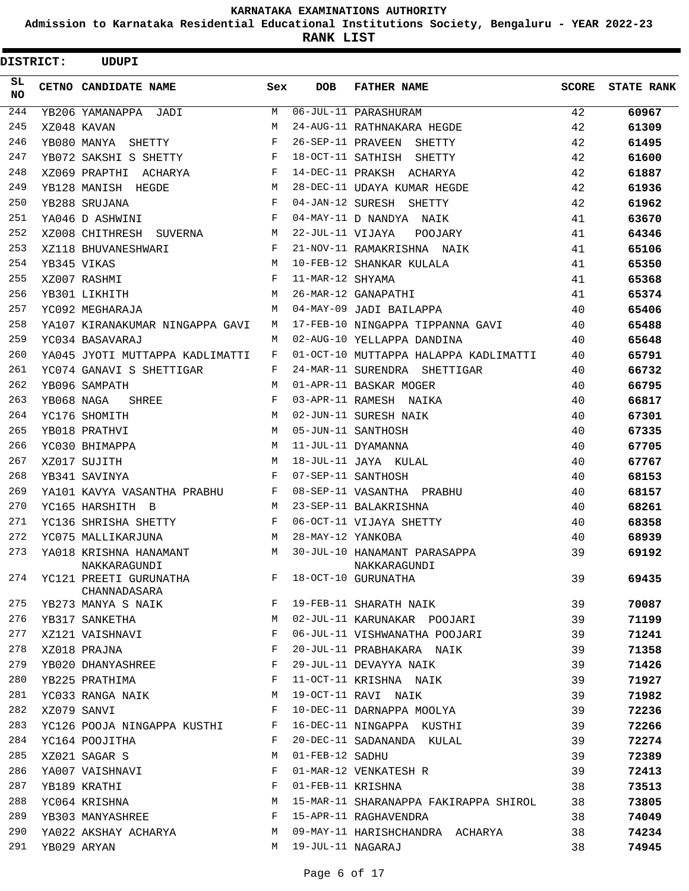**Admission to Karnataka Residential Educational Institutions Society, Bengaluru - YEAR 2022-23**

| <b>DISTRICT:</b> |            | <b>UDUPI</b>                           |              |                   |                                              |       |                   |
|------------------|------------|----------------------------------------|--------------|-------------------|----------------------------------------------|-------|-------------------|
| SL<br><b>NO</b>  |            | CETNO CANDIDATE NAME                   | Sex          | <b>DOB</b>        | <b>FATHER NAME</b>                           | SCORE | <b>STATE RANK</b> |
| 244              |            | YB206 YAMANAPPA JADI                   | M            |                   | 06-JUL-11 PARASHURAM                         | 42    | 60967             |
| 245              |            | XZ048 KAVAN                            | M            |                   | 24-AUG-11 RATHNAKARA HEGDE                   | 42    | 61309             |
| 246              |            | YB080 MANYA SHETTY                     | F            |                   | 26-SEP-11 PRAVEEN SHETTY                     | 42    | 61495             |
| 247              |            | YB072 SAKSHI S SHETTY                  | F            |                   | 18-OCT-11 SATHISH SHETTY                     | 42    | 61600             |
| 248              |            | XZ069 PRAPTHI ACHARYA                  | F            |                   | 14-DEC-11 PRAKSH ACHARYA                     | 42    | 61887             |
| 249              |            | YB128 MANISH HEGDE                     | М            |                   | 28-DEC-11 UDAYA KUMAR HEGDE                  | 42    | 61936             |
| 250              |            | YB288 SRUJANA                          | $_{\rm F}$   |                   | 04-JAN-12 SURESH SHETTY                      | 42    | 61962             |
| 251              |            | YA046 D ASHWINI                        | F            |                   | 04-MAY-11 D NANDYA NAIK                      | 41    | 63670             |
| 252              |            | XZ008 CHITHRESH SUVERNA                | М            | 22-JUL-11 VIJAYA  | POOJARY                                      | 41    | 64346             |
| 253              |            | XZ118 BHUVANESHWARI                    | F            |                   | 21-NOV-11 RAMAKRISHNA NAIK                   | 41    | 65106             |
| 254              |            | YB345 VIKAS                            | М            |                   | 10-FEB-12 SHANKAR KULALA                     | 41    | 65350             |
| 255              |            | XZ007 RASHMI                           | F            | 11-MAR-12 SHYAMA  |                                              | 41    | 65368             |
| 256              |            | YB301 LIKHITH                          | М            |                   | 26-MAR-12 GANAPATHI                          | 41    | 65374             |
| 257              |            | YC092 MEGHARAJA                        | M            |                   | 04-MAY-09 JADI BAILAPPA                      | 40    | 65406             |
| 258              |            | YA107 KIRANAKUMAR NINGAPPA GAVI        | М            |                   | 17-FEB-10 NINGAPPA TIPPANNA GAVI             | 40    | 65488             |
| 259              |            | YC034 BASAVARAJ                        | M            |                   | 02-AUG-10 YELLAPPA DANDINA                   | 40    | 65648             |
| 260              |            | YA045 JYOTI MUTTAPPA KADLIMATTI        | F            |                   | 01-OCT-10 MUTTAPPA HALAPPA KADLIMATTI        | 40    | 65791             |
| 261              |            | YC074 GANAVI S SHETTIGAR               | F            |                   | 24-MAR-11 SURENDRA SHETTIGAR                 | 40    | 66732             |
| 262              |            | YB096 SAMPATH                          | M            |                   | 01-APR-11 BASKAR MOGER                       | 40    | 66795             |
| 263              | YB068 NAGA | SHREE                                  | $_{\rm F}$   |                   | 03-APR-11 RAMESH NAIKA                       | 40    | 66817             |
| 264              |            | YC176 SHOMITH                          | М            |                   | 02-JUN-11 SURESH NAIK                        | 40    | 67301             |
| 265              |            | YB018 PRATHVI                          | M            |                   | 05-JUN-11 SANTHOSH                           | 40    | 67335             |
| 266              |            | YC030 BHIMAPPA                         | М            |                   | 11-JUL-11 DYAMANNA                           | 40    | 67705             |
| 267              |            | XZ017 SUJITH                           | M            |                   | 18-JUL-11 JAYA KULAL                         | 40    | 67767             |
| 268              |            | YB341 SAVINYA                          | F            |                   | 07-SEP-11 SANTHOSH                           | 40    | 68153             |
| 269              |            | YA101 KAVYA VASANTHA PRABHU            | $\mathbf{F}$ |                   | 08-SEP-11 VASANTHA PRABHU                    | 40    | 68157             |
| 270              |            | YC165 HARSHITH B                       | М            |                   | 23-SEP-11 BALAKRISHNA                        | 40    | 68261             |
| 271              |            | YC136 SHRISHA SHETTY                   | F            |                   | 06-OCT-11 VIJAYA SHETTY                      | 40    | 68358             |
| 272              |            | YC075 MALLIKARJUNA                     | М            | 28-MAY-12 YANKOBA |                                              | 40    | 68939             |
| 273              |            | YA018 KRISHNA HANAMANT<br>NAKKARAGUNDI | М            |                   | 30-JUL-10 HANAMANT PARASAPPA<br>NAKKARAGUNDI | 39    | 69192             |
| 274              |            | YC121 PREETI GURUNATHA<br>CHANNADASARA | F            |                   | 18-OCT-10 GURUNATHA                          | 39    | 69435             |
| 275              |            | YB273 MANYA S NAIK                     | F            |                   | 19-FEB-11 SHARATH NAIK                       | 39    | 70087             |
| 276              |            | YB317 SANKETHA                         | M            |                   | 02-JUL-11 KARUNAKAR POOJARI                  | 39    | 71199             |
| 277              |            | XZ121 VAISHNAVI                        | F            |                   | 06-JUL-11 VISHWANATHA POOJARI                | 39    | 71241             |
| 278              |            | XZ018 PRAJNA                           | F            |                   | 20-JUL-11 PRABHAKARA NAIK                    | 39    | 71358             |
| 279              |            | YB020 DHANYASHREE                      | F            |                   | 29-JUL-11 DEVAYYA NAIK                       | 39    | 71426             |
| 280              |            | YB225 PRATHIMA                         | F            |                   | 11-OCT-11 KRISHNA NAIK                       | 39    | 71927             |
| 281              |            | YC033 RANGA NAIK                       | М            |                   | 19-OCT-11 RAVI NAIK                          | 39    | 71982             |
| 282              |            | XZ079 SANVI                            | F            |                   | 10-DEC-11 DARNAPPA MOOLYA                    | 39    | 72236             |
| 283              |            | YC126 POOJA NINGAPPA KUSTHI            | F            |                   | 16-DEC-11 NINGAPPA KUSTHI                    | 39    | 72266             |
| 284              |            | YC164 POOJITHA                         | F            |                   | 20-DEC-11 SADANANDA KULAL                    | 39    | 72274             |
| 285              |            | XZ021 SAGAR S                          | M            | 01-FEB-12 SADHU   |                                              | 39    | 72389             |
| 286              |            | YA007 VAISHNAVI                        | F            |                   | 01-MAR-12 VENKATESH R                        | 39    | 72413             |
| 287              |            | YB189 KRATHI                           | F            | 01-FEB-11 KRISHNA |                                              | 38    | 73513             |
| 288              |            | YC064 KRISHNA                          | M            |                   | 15-MAR-11 SHARANAPPA FAKIRAPPA SHIROL        | 38    | 73805             |
| 289              |            | YB303 MANYASHREE                       | F            |                   | 15-APR-11 RAGHAVENDRA                        | 38    | 74049             |
| 290              |            | YA022 AKSHAY ACHARYA                   | M            |                   | 09-MAY-11 HARISHCHANDRA ACHARYA              | 38    | 74234             |
| 291              |            | YB029 ARYAN                            | M            | 19-JUL-11 NAGARAJ |                                              | 38    | 74945             |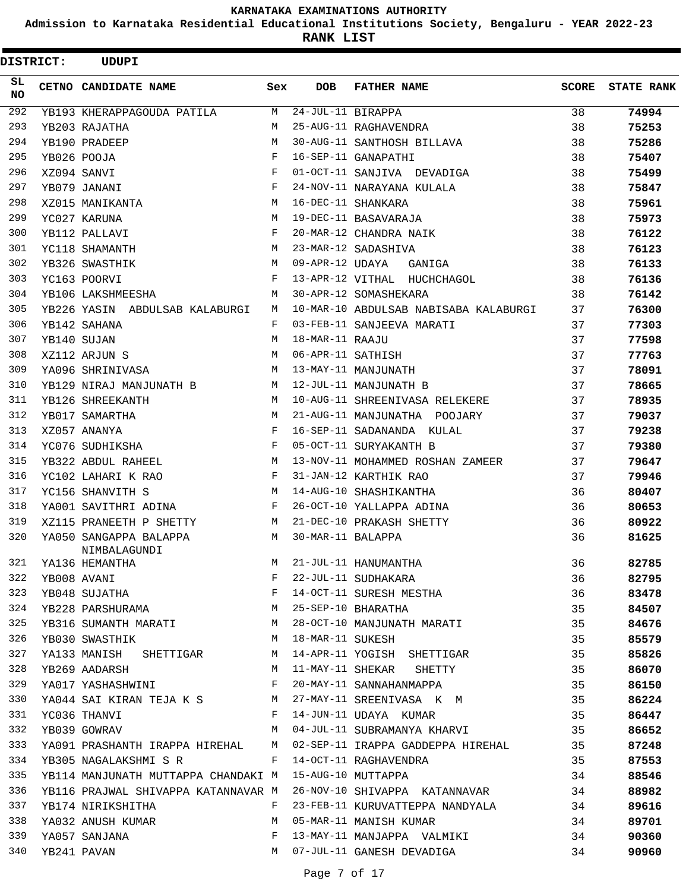**Admission to Karnataka Residential Educational Institutions Society, Bengaluru - YEAR 2022-23**

**RANK LIST**

| <b>DISTRICT:</b> | <b>UDUPI</b>                                                       |            |                   |                                                                                              |              |                   |
|------------------|--------------------------------------------------------------------|------------|-------------------|----------------------------------------------------------------------------------------------|--------------|-------------------|
| SL.<br>NO.       | CETNO CANDIDATE NAME                                               | Sex        | <b>DOB</b>        | <b>FATHER NAME</b>                                                                           | <b>SCORE</b> | <b>STATE RANK</b> |
| 292              | YB193 KHERAPPAGOUDA PATILA                                         | M          | 24-JUL-11 BIRAPPA |                                                                                              | 38           | 74994             |
| 293              | YB203 RAJATHA                                                      | M          |                   | 25-AUG-11 RAGHAVENDRA                                                                        | 38           | 75253             |
| 294              | YB190 PRADEEP                                                      | M          |                   | 30-AUG-11 SANTHOSH BILLAVA                                                                   | 38           | 75286             |
| 295              | YB026 POOJA                                                        | F          |                   | 16-SEP-11 GANAPATHI                                                                          | 38           | 75407             |
| 296              | XZ094 SANVI                                                        | F          |                   | 01-OCT-11 SANJIVA DEVADIGA                                                                   | 38           | 75499             |
| 297              | YB079 JANANI                                                       | $_{\rm F}$ |                   | 24-NOV-11 NARAYANA KULALA                                                                    | 38           | 75847             |
| 298              | XZ015 MANIKANTA                                                    | M          |                   | 16-DEC-11 SHANKARA                                                                           | 38           | 75961             |
| 299              | YC027 KARUNA                                                       | M          |                   | 19-DEC-11 BASAVARAJA                                                                         | 38           | 75973             |
| 300              | YB112 PALLAVI                                                      | F          |                   | 20-MAR-12 CHANDRA NAIK                                                                       | 38           | 76122             |
| 301              | YC118 SHAMANTH                                                     | М          |                   | 23-MAR-12 SADASHIVA                                                                          | 38           | 76123             |
| 302              | YB326 SWASTHIK                                                     | M          | 09-APR-12 UDAYA   | GANIGA                                                                                       | 38           | 76133             |
| 303              | YC163 POORVI                                                       | F          |                   | 13-APR-12 VITHAL HUCHCHAGOL                                                                  | 38           | 76136             |
| 304              | YB106 LAKSHMEESHA                                                  | M          |                   | 30-APR-12 SOMASHEKARA                                                                        | 38           | 76142             |
| 305              | YB226 YASIN ABDULSAB KALABURGI                                     | М          |                   | 10-MAR-10 ABDULSAB NABISABA KALABURGI                                                        | 37           | 76300             |
| 306              | YB142 SAHANA                                                       | F          |                   | 03-FEB-11 SANJEEVA MARATI                                                                    | 37           | 77303             |
| 307              | YB140 SUJAN                                                        | М          | 18-MAR-11 RAAJU   |                                                                                              | 37           | 77598             |
| 308              | XZ112 ARJUN S                                                      | M          | 06-APR-11 SATHISH |                                                                                              | 37           | 77763             |
| 309              | YA096 SHRINIVASA                                                   | М          |                   | 13-MAY-11 MANJUNATH                                                                          | 37           | 78091             |
| 310              | YB129 NIRAJ MANJUNATH B                                            | M          |                   | 12-JUL-11 MANJUNATH B                                                                        | 37           | 78665             |
| 311              | YB126 SHREEKANTH                                                   | M          |                   | 10-AUG-11 SHREENIVASA RELEKERE                                                               | 37           | 78935             |
| 312              | YB017 SAMARTHA                                                     | M          |                   | 21-AUG-11 MANJUNATHA POOJARY                                                                 | 37           | 79037             |
| 313              | XZ057 ANANYA                                                       | $_{\rm F}$ |                   | 16-SEP-11 SADANANDA KULAL                                                                    | 37           | 79238             |
| 314              | YC076 SUDHIKSHA                                                    | $_{\rm F}$ |                   | 05-OCT-11 SURYAKANTH B                                                                       | 37           | 79380             |
| 315              | YB322 ABDUL RAHEEL                                                 | М          |                   | 13-NOV-11 MOHAMMED ROSHAN ZAMEER                                                             | 37           | 79647             |
| 316              | YC102 LAHARI K RAO                                                 | F          |                   | 31-JAN-12 KARTHIK RAO                                                                        | 37           | 79946             |
| 317              | YC156 SHANVITH S                                                   | М          |                   | 14-AUG-10 SHASHIKANTHA                                                                       | 36           | 80407             |
| 318              | YA001 SAVITHRI ADINA                                               | F          |                   | 26-OCT-10 YALLAPPA ADINA                                                                     | 36           | 80653             |
| 319              | XZ115 PRANEETH P SHETTY                                            | М          |                   | 21-DEC-10 PRAKASH SHETTY                                                                     | 36           | 80922             |
| 320              | YA050 SANGAPPA BALAPPA<br>NIMBALAGUNDI                             | M          | 30-MAR-11 BALAPPA |                                                                                              | 36           | 81625             |
| 321              |                                                                    | М          |                   |                                                                                              | 36           | 82785             |
| 322              | YA136 HEMANTHA<br>YB008 AVANI<br>YB048 SUJATHA<br>YB228 PARSHURAMA | F          |                   | 21-JUL-11 HANUMANTHA<br>22-JUL-11 SUDHAKARA<br>14-OCT-11 SURESH MESTHA<br>25-SEP-10 BHARATHA | 36           | 82795             |
| 323              |                                                                    | $_{\rm F}$ |                   |                                                                                              | 36           | 83478             |
| 324              |                                                                    | M          |                   |                                                                                              | 35           | 84507             |
| 325              | YB316 SUMANTH MARATI                                               | M          |                   | 28-OCT-10 MANJUNATH MARATI                                                                   | 35           | 84676             |
| 326              | YB030 SWASTHIK                                                     | M          | 18-MAR-11 SUKESH  |                                                                                              | 35           | 85579             |
| 327              | YA133 MANISH SHETTIGAR M                                           |            |                   | 14-APR-11 YOGISH SHETTIGAR                                                                   | 35           | 85826             |
| 328              | YB269 AADARSH                                                      | M          |                   | 11-MAY-11 SHEKAR SHETTY                                                                      | 35           | 86070             |
| 329              | YA017 YASHASHWINI                                                  | F          |                   | 20-MAY-11 SANNAHANMAPPA                                                                      | 35           | 86150             |
| 330              | YA044 SAI KIRAN TEJA K S M                                         |            |                   | 27-MAY-11 SREENIVASA K M                                                                     | 35           | 86224             |
| 331              | YC036 THANVI                                                       | F          |                   | 14-JUN-11 UDAYA KUMAR                                                                        | 35           | 86447             |
| 332              | YB039 GOWRAV                                                       | M          |                   | 04-JUL-11 SUBRAMANYA KHARVI                                                                  | 35           | 86652             |
| 333              | YA091 PRASHANTH IRAPPA HIREHAL M                                   |            |                   | 02-SEP-11 IRAPPA GADDEPPA HIREHAL                                                            | 35           | 87248             |
| 334              | YB305 NAGALAKSHMI S R                                              | F          |                   | 14-OCT-11 RAGHAVENDRA                                                                        | 35           | 87553             |
| 335              | YB114 MANJUNATH MUTTAPPA CHANDAKI M                                |            |                   | 15-AUG-10 MUTTAPPA                                                                           | 34           | 88546             |
| 336              | YB116 PRAJWAL SHIVAPPA KATANNAVAR M                                |            |                   | 26-NOV-10 SHIVAPPA KATANNAVAR                                                                | 34           | 88982             |
| 337              | YB174 NIRIKSHITHA                                                  | F          |                   | 23-FEB-11 KURUVATTEPPA NANDYALA                                                              | 34           | 89616             |
| 338              | YA032 ANUSH KUMAR                                                  | M          |                   | 05-MAR-11 MANISH KUMAR                                                                       | 34           | 89701             |
| 339              | YA057 SANJANA                                                      | F          |                   | 13-MAY-11 MANJAPPA VALMIKI                                                                   | 34           | 90360             |
| 340              | YB241 PAVAN                                                        | M          |                   | 07-JUL-11 GANESH DEVADIGA                                                                    | 34           | 90960             |
|                  |                                                                    |            |                   |                                                                                              |              |                   |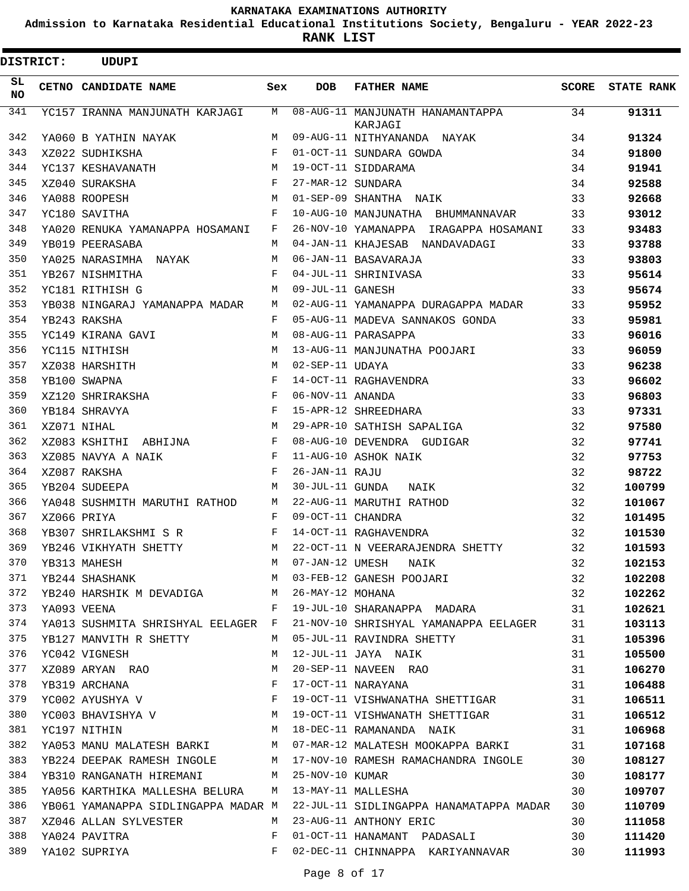**Admission to Karnataka Residential Educational Institutions Society, Bengaluru - YEAR 2022-23**

| <b>DISTRICT:</b> |  | UDUPI                                                                                                                                         |     |                   |                                                                             |              |                   |
|------------------|--|-----------------------------------------------------------------------------------------------------------------------------------------------|-----|-------------------|-----------------------------------------------------------------------------|--------------|-------------------|
| SL<br><b>NO</b>  |  | CETNO CANDIDATE NAME                                                                                                                          | Sex | <b>DOB</b>        | <b>FATHER NAME</b>                                                          | <b>SCORE</b> | <b>STATE RANK</b> |
| 341              |  | YC157 IRANNA MANJUNATH KARJAGI                                                                                                                | M   |                   | 08-AUG-11 MANJUNATH HANAMANTAPPA<br>KARJAGI                                 | 34           | 91311             |
| 342              |  | YA060 B YATHIN NAYAK                                                                                                                          | M   |                   | 09-AUG-11 NITHYANANDA NAYAK                                                 | 34           | 91324             |
| 343              |  | XZ022 SUDHIKSHA                                                                                                                               | F   |                   | 01-OCT-11 SUNDARA GOWDA                                                     | 34           | 91800             |
| 344              |  | YC137 KESHAVANATH                                                                                                                             | М   |                   | 19-OCT-11 SIDDARAMA                                                         | 34           | 91941             |
| 345              |  | XZ040 SURAKSHA                                                                                                                                | F   | 27-MAR-12 SUNDARA |                                                                             | 34           | 92588             |
| 346              |  | YA088 ROOPESH                                                                                                                                 | M   |                   | 01-SEP-09 SHANTHA NAIK                                                      | 33           | 92668             |
| 347              |  | YC180 SAVITHA                                                                                                                                 | F   |                   | 10-AUG-10 MANJUNATHA BHUMMANNAVAR                                           | 33           | 93012             |
| 348              |  | YA020 RENUKA YAMANAPPA HOSAMANI                                                                                                               | F   |                   | 26-NOV-10 YAMANAPPA IRAGAPPA HOSAMANI                                       | 33           | 93483             |
| 349              |  | YB019 PEERASABA                                                                                                                               | M   |                   | 04-JAN-11 KHAJESAB NANDAVADAGI                                              | 33           | 93788             |
| 350              |  | YA025 NARASIMHA NAYAK                                                                                                                         | M   |                   | 06-JAN-11 BASAVARAJA                                                        | 33           | 93803             |
| 351              |  | YB267 NISHMITHA                                                                                                                               | F   |                   | 04-JUL-11 SHRINIVASA                                                        | 33           | 95614             |
| 352              |  | YC181 RITHISH G                                                                                                                               | M   | 09-JUL-11 GANESH  |                                                                             | 33           | 95674             |
| 353              |  | YB038 NINGARAJ YAMANAPPA MADAR                                                                                                                | M   |                   | 02-AUG-11 YAMANAPPA DURAGAPPA MADAR                                         | 33           | 95952             |
| 354              |  | YB243 RAKSHA                                                                                                                                  | F   |                   | 05-AUG-11 MADEVA SANNAKOS GONDA                                             | 33           | 95981             |
| 355              |  | YC149 KIRANA GAVI                                                                                                                             | M   |                   | 08-AUG-11 PARASAPPA                                                         | 33           | 96016             |
| 356              |  | YC115 NITHISH                                                                                                                                 | м   |                   | 13-AUG-11 MANJUNATHA POOJARI                                                | 33           | 96059             |
| 357              |  | XZ038 HARSHITH                                                                                                                                | м   | 02-SEP-11 UDAYA   |                                                                             | 33           | 96238             |
| 358              |  | YB100 SWAPNA                                                                                                                                  | F   |                   | 14-OCT-11 RAGHAVENDRA                                                       | 33           | 96602             |
| 359              |  | XZ120 SHRIRAKSHA                                                                                                                              | F   | 06-NOV-11 ANANDA  |                                                                             | 33           | 96803             |
| 360              |  | YB184 SHRAVYA                                                                                                                                 | F   |                   | 15-APR-12 SHREEDHARA                                                        | 33           | 97331             |
| 361              |  | XZ071 NIHAL                                                                                                                                   | M   |                   | 29-APR-10 SATHISH SAPALIGA                                                  | 32           | 97580             |
| 362              |  | XZ083 KSHITHI ABHIJNA                                                                                                                         | F   |                   | 08-AUG-10 DEVENDRA GUDIGAR                                                  | 32           | 97741             |
| 363              |  | XZ085 NAVYA A NAIK                                                                                                                            | F   |                   | 11-AUG-10 ASHOK NAIK                                                        | 32           | 97753             |
| 364              |  | XZ087 RAKSHA                                                                                                                                  | F   | 26-JAN-11 RAJU    |                                                                             | 32           | 98722             |
| 365              |  | YB204 SUDEEPA                                                                                                                                 | M   | 30-JUL-11 GUNDA   | NAIK                                                                        | 32           | 100799            |
| 366              |  | YA048 SUSHMITH MARUTHI RATHOD                                                                                                                 | M   |                   | 22-AUG-11 MARUTHI RATHOD                                                    | 32           | 101067            |
| 367              |  | XZ066 PRIYA                                                                                                                                   | F   | 09-OCT-11 CHANDRA |                                                                             | 32           | 101495            |
| 368              |  | YB307 SHRILAKSHMI S R                                                                                                                         | F   |                   | 14-OCT-11 RAGHAVENDRA                                                       | 32           | 101530            |
| 369              |  | YB246 VIKHYATH SHETTY                                                                                                                         | M   |                   | 22-OCT-11 N VEERARAJENDRA SHETTY                                            | 32           | 101593            |
| 370              |  | YB313 MAHESH                                                                                                                                  |     | M 07-JAN-12 UMESH | <b>NAIK</b>                                                                 | 32           | 102153            |
| 371              |  | YB313 MAHESH<br>YB244 SHASHANK                                                                                                                |     |                   | M 03-FEB-12 GANESH POOJARI                                                  | 32           | 102208            |
| 372              |  |                                                                                                                                               |     |                   | YB240 HARSHIK M DEVADIGA M 26-MAY-12 MOHANA                                 | 32           | 102262            |
| 373              |  | YA093 VEENA                                                                                                                                   | F   |                   | 19-JUL-10 SHARANAPPA MADARA                                                 | 31           | 102621            |
| 374              |  |                                                                                                                                               |     |                   | YA013 SUSHMITA SHRISHYAL EELAGER F 21-NOV-10 SHRISHYAL YAMANAPPA EELAGER 31 |              | 103113            |
| 375              |  | YB127 MANVITH R SHETTY                                                                                                                        | M   |                   | 05-JUL-11 RAVINDRA SHETTY                                                   | 31           | 105396            |
| 376              |  | YC042 VIGNESH                                                                                                                                 | M   |                   | 12-JUL-11 JAYA NAIK                                                         | 31           | 105500            |
| 377              |  | XZ089 ARYAN RAO                                                                                                                               | M   |                   | 20-SEP-11 NAVEEN RAO                                                        | 31           | 106270            |
| 378              |  | $\begin{array}{lll} \texttt{YB319} & \texttt{ARCHANA} & \texttt{F}\\ \texttt{YC002} & \texttt{AYUSHYA} & \texttt{V} & \texttt{F} \end{array}$ |     |                   | 17-OCT-11 NARAYANA                                                          | 31           | 106488            |
| 379              |  |                                                                                                                                               |     |                   | 19-OCT-11 VISHWANATHA SHETTIGAR                                             | 31           | 106511            |
| 380              |  |                                                                                                                                               |     |                   | YCOO3 BHAVISHYA V M 19-OCT-11 VISHWANATH SHETTIGAR 31                       |              | 106512            |
| 381              |  | YC197 NITHIN                                                                                                                                  |     |                   | M 18-DEC-11 RAMANANDA NAIK                                                  | 31           | 106968            |
| 382              |  |                                                                                                                                               |     |                   | YA053 MANU MALATESH BARKI M 07-MAR-12 MALATESH MOOKAPPA BARKI 31            |              | 107168            |
| 383              |  |                                                                                                                                               |     |                   | YB224 DEEPAK RAMESH INGOLE M 17-NOV-10 RAMESH RAMACHANDRA INGOLE 30         |              | 108127            |
| 384              |  | YB310 RANGANATH HIREMANI M 25-NOV-10 KUMAR                                                                                                    |     |                   |                                                                             | 30           | 108177            |
| 385              |  |                                                                                                                                               |     |                   | YA056 KARTHIKA MALLESHA BELURA M 13-MAY-11 MALLESHA                         | 30           | 109707            |
| 386              |  |                                                                                                                                               |     |                   | YB061 YAMANAPPA SIDLINGAPPA MADAR M 22-JUL-11 SIDLINGAPPA HANAMATAPPA MADAR | 30           | 110709            |
| 387              |  | XZ046 ALLAN SYLVESTER                                                                                                                         | M   |                   | 23-AUG-11 ANTHONY ERIC                                                      | 30           | 111058            |
| 388              |  | YA024 PAVITRA                                                                                                                                 | F   |                   | 01-OCT-11 HANAMANT PADASALI                                                 | 30           | 111420            |
| 389              |  | YA102 SUPRIYA                                                                                                                                 | F   |                   | 02-DEC-11 CHINNAPPA KARIYANNAVAR                                            | 30           | 111993            |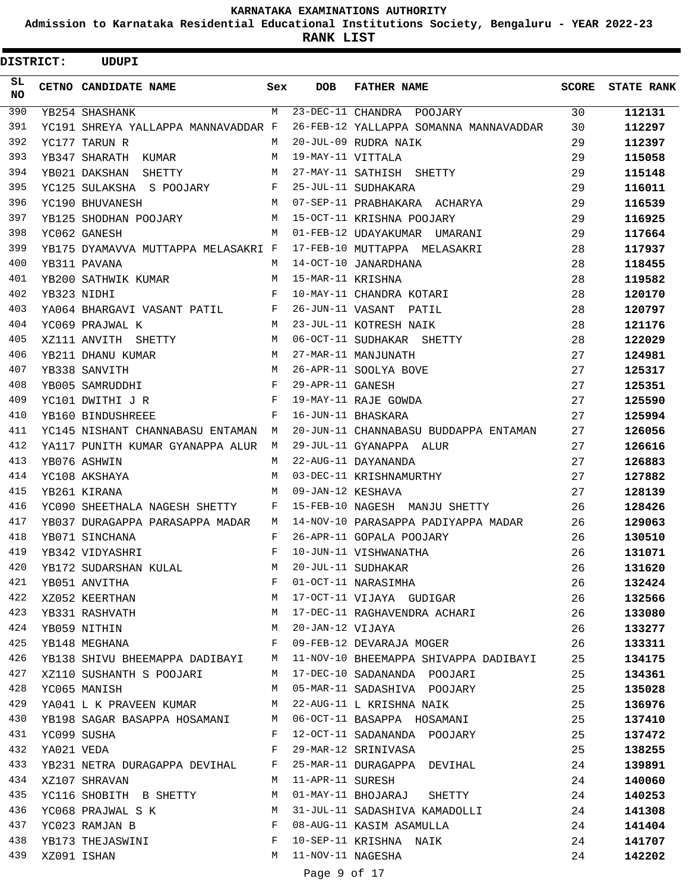**Admission to Karnataka Residential Educational Institutions Society, Bengaluru - YEAR 2022-23**

 $\blacksquare$ 

**RANK LIST**

| <b>DISTRICT:</b> |             | <b>UDUPI</b>                        |            |                   |                                                           |              |                   |
|------------------|-------------|-------------------------------------|------------|-------------------|-----------------------------------------------------------|--------------|-------------------|
| SL.<br><b>NO</b> |             | CETNO CANDIDATE NAME                | Sex        | <b>DOB</b>        | <b>FATHER NAME</b>                                        | <b>SCORE</b> | <b>STATE RANK</b> |
| 390              |             | YB254 SHASHANK                      | M          |                   | 23-DEC-11 CHANDRA POOJARY                                 | 30           | 112131            |
| 391              |             | YC191 SHREYA YALLAPPA MANNAVADDAR F |            |                   | 26-FEB-12 YALLAPPA SOMANNA MANNAVADDAR                    | 30           | 112297            |
| 392              |             | YC177 TARUN R                       | M          |                   | 20-JUL-09 RUDRA NAIK                                      | 29           | 112397            |
| 393              |             | YB347 SHARATH KUMAR                 | M          | 19-MAY-11 VITTALA |                                                           | 29           | 115058            |
| 394              |             | YB021 DAKSHAN SHETTY                | M          |                   | 27-MAY-11 SATHISH SHETTY                                  | 29           | 115148            |
| 395              |             | YC125 SULAKSHA S POOJARY            | F          |                   | 25-JUL-11 SUDHAKARA                                       | 29           | 116011            |
| 396              |             | YC190 BHUVANESH                     | M          |                   | 07-SEP-11 PRABHAKARA ACHARYA                              | 29           | 116539            |
| 397              |             | YB125 SHODHAN POOJARY               | М          |                   | 15-OCT-11 KRISHNA POOJARY                                 | 29           | 116925            |
| 398              |             | YC062 GANESH                        | M          |                   | 01-FEB-12 UDAYAKUMAR UMARANI                              | 29           | 117664            |
| 399              |             | YB175 DYAMAVVA MUTTAPPA MELASAKRI F |            |                   | 17-FEB-10 MUTTAPPA MELASAKRI                              | 28           | 117937            |
| 400              |             | YB311 PAVANA                        | M          |                   | 14-OCT-10 JANARDHANA                                      | 28           | 118455            |
| 401              |             | YB200 SATHWIK KUMAR                 | M          | 15-MAR-11 KRISHNA |                                                           | 28           | 119582            |
| 402              |             | YB323 NIDHI                         | $_{\rm F}$ |                   | 10-MAY-11 CHANDRA KOTARI                                  | 28           | 120170            |
| 403              |             | YA064 BHARGAVI VASANT PATIL         | F          |                   | 26-JUN-11 VASANT PATIL                                    | 28           | 120797            |
| 404              |             | YC069 PRAJWAL K                     | M          |                   | 23-JUL-11 KOTRESH NAIK                                    | 28           | 121176            |
| 405              |             | XZ111 ANVITH SHETTY                 | M          |                   | 06-OCT-11 SUDHAKAR SHETTY                                 | 28           | 122029            |
| 406              |             | YB211 DHANU KUMAR                   | M          |                   | 27-MAR-11 MANJUNATH                                       | 27           | 124981            |
| 407              |             | YB338 SANVITH                       | M          |                   | 26-APR-11 SOOLYA BOVE                                     | 27           | 125317            |
| 408              |             | YB005 SAMRUDDHI                     | F          | 29-APR-11 GANESH  |                                                           | 27           | 125351            |
| 409              |             | YC101 DWITHI J R                    | F          |                   | 19-MAY-11 RAJE GOWDA                                      | 27           | 125590            |
| 410              |             | YB160 BINDUSHREEE                   | F          |                   | 16-JUN-11 BHASKARA                                        | 27           | 125994            |
| 411              |             | YC145 NISHANT CHANNABASU ENTAMAN    | M          |                   | 20-JUN-11 CHANNABASU BUDDAPPA ENTAMAN                     | 27           | 126056            |
| 412              |             | YA117 PUNITH KUMAR GYANAPPA ALUR    | M          |                   | 29-JUL-11 GYANAPPA ALUR                                   | 27           | 126616            |
| 413              |             | YB076 ASHWIN                        | М          |                   | 22-AUG-11 DAYANANDA                                       | 27           | 126883            |
| 414              |             | YC108 AKSHAYA                       | М          |                   | 03-DEC-11 KRISHNAMURTHY                                   | 27           | 127882            |
| 415              |             | YB261 KIRANA                        | М          | 09-JAN-12 KESHAVA |                                                           | 27           | 128139            |
| 416              |             | YC090 SHEETHALA NAGESH SHETTY       | F          |                   | 15-FEB-10 NAGESH MANJU SHETTY                             | 26           | 128426            |
| 417              |             | YB037 DURAGAPPA PARASAPPA MADAR     | М          |                   | 14-NOV-10 PARASAPPA PADIYAPPA MADAR                       | 26           | 129063            |
| 418              |             | YB071 SINCHANA                      | F          |                   | 26-APR-11 GOPALA POOJARY                                  | 26           | 130510            |
| 419              |             | YB342 VIDYASHRI                     | F          |                   | 10-JUN-11 VISHWANATHA                                     | 26           | 131071            |
| 420              |             | YB172 SUDARSHAN KULAL               | M          |                   |                                                           | 26           | 131620            |
| 421              |             | YB051 ANVITHA                       | F          |                   | 20-JUL-11 SUDHAKAR<br>01-OCT-11 NARASIMHA                 | 26           | 132424            |
| 422              |             | XZ052 KEERTHAN                      | М          |                   | 17-OCT-11 VIJAYA GUDIGAR                                  | 26           | 132566            |
| 423              |             | YB331 RASHVATH                      | M          |                   | 17-DEC-11 RAGHAVENDRA ACHARI                              | 26           | 133080            |
| 424              |             | YB059 NITHIN                        | M          | 20-JAN-12 VIJAYA  |                                                           | 26           | 133277            |
| 425              |             | YB148 MEGHANA                       | F          |                   | 09-FEB-12 DEVARAJA MOGER                                  | 26           | 133311            |
| 426              |             | YB138 SHIVU BHEEMAPPA DADIBAYI      | M          |                   | 11-NOV-10 BHEEMAPPA SHIVAPPA DADIBAYI                     | 25           | 134175            |
| 427              |             | XZ110 SUSHANTH S POOJARI            | M          |                   | 17-DEC-10 SADANANDA POOJARI                               | 25           | 134361            |
| 428              |             | YC065 MANISH                        | M          |                   | 05-MAR-11 SADASHIVA POOJARY                               | 25           | 135028            |
| 429              |             | YA041 L K PRAVEEN KUMAR             | M          |                   | 22-AUG-11 L KRISHNA NAIK                                  | 25           | 136976            |
| 430              |             | YB198 SAGAR BASAPPA HOSAMANI        | M          |                   | 06-OCT-11 BASAPPA HOSAMANI                                | 25           | 137410            |
| 431              |             | YC099 SUSHA                         | F          |                   | 12-OCT-11 SADANANDA POOJARY                               | 25           | 137472            |
| 432              | YA021 VEDA  |                                     | F          |                   | 29-MAR-12 SRINIVASA                                       | 25           | 138255            |
| 433              |             | YB231 NETRA DURAGAPPA DEVIHAL       | F          |                   | 25-MAR-11 DURAGAPPA DEVIHAL                               | 24           | 139891            |
| 434              |             | XZ107 SHRAVAN                       | M          |                   | 11-APR-11 SURESH                                          | 24           | 140060            |
| 435              |             | YC116 SHOBITH B SHETTY              | M          |                   | 01-MAY-11 BHOJARAJ SHETTY                                 | 24           | 140253            |
| 436              |             | YC068 PRAJWAL S K                   | M          |                   |                                                           | 24           | 141308            |
| 437              |             | YC023 RAMJAN B                      | F          |                   | 31-JUL-11 SADASHIVA KAMADOLLI<br>08-AUG-11 KASIM ASAMULLA | 24           | 141404            |
| 438              |             | YB173 THEJASWINI                    | F          |                   | 10-SEP-11 KRISHNA NAIK                                    | 24           | 141707            |
| 439              |             |                                     | M          | 11-NOV-11 NAGESHA |                                                           |              |                   |
|                  | XZ091 ISHAN |                                     |            |                   |                                                           | 24           | 142202            |

Page 9 of 17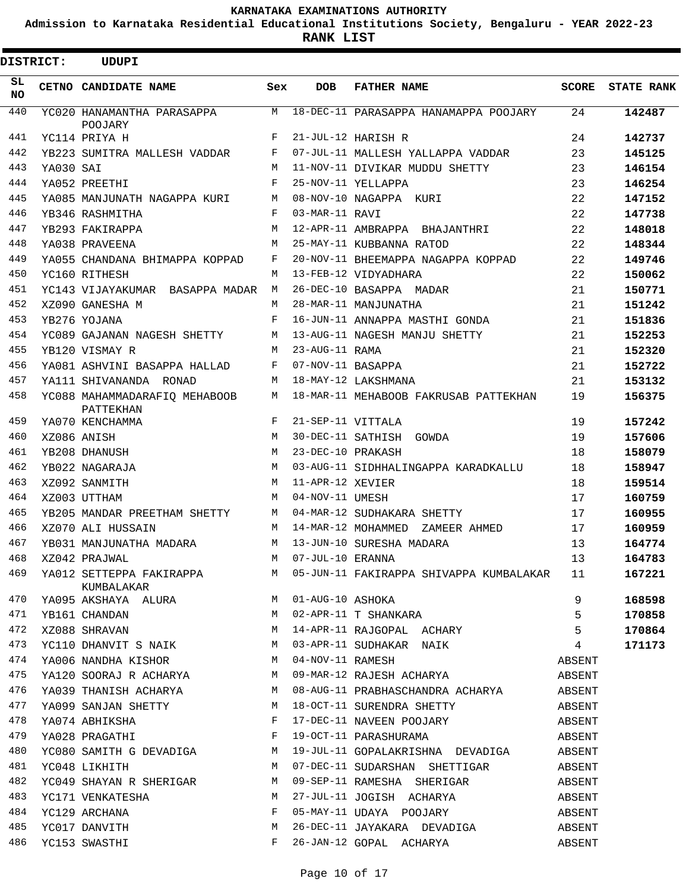**Admission to Karnataka Residential Educational Institutions Society, Bengaluru - YEAR 2022-23**

**RANK LIST**

| <b>DISTRICT:</b> |           | UDUPI                                                                                                                                                                                                                                              |       |                    |                                                                                                                                                                                       |              |                   |
|------------------|-----------|----------------------------------------------------------------------------------------------------------------------------------------------------------------------------------------------------------------------------------------------------|-------|--------------------|---------------------------------------------------------------------------------------------------------------------------------------------------------------------------------------|--------------|-------------------|
| SL<br>NO.        |           | CETNO CANDIDATE NAME                                                                                                                                                                                                                               | Sex   | <b>DOB</b>         | <b>FATHER NAME</b>                                                                                                                                                                    | <b>SCORE</b> | <b>STATE RANK</b> |
| 440              |           | YC020 HANAMANTHA PARASAPPA<br>POOJARY                                                                                                                                                                                                              | M     |                    | 18-DEC-11 PARASAPPA HANAMAPPA POOJARY                                                                                                                                                 | 24           | 142487            |
| 441              |           | YC114 PRIYA H                                                                                                                                                                                                                                      | F     |                    | 21-JUL-12 HARISH R                                                                                                                                                                    | 24           | 142737            |
| 442              |           | YB223 SUMITRA MALLESH VADDAR                                                                                                                                                                                                                       | F     |                    | 07-JUL-11 MALLESH YALLAPPA VADDAR                                                                                                                                                     | 23           | 145125            |
| 443              | YA030 SAI |                                                                                                                                                                                                                                                    | M     |                    | 11-NOV-11 DIVIKAR MUDDU SHETTY                                                                                                                                                        | 23           | 146154            |
| 444              |           | YA052 PREETHI                                                                                                                                                                                                                                      | F     |                    | 25-NOV-11 YELLAPPA                                                                                                                                                                    | 23           | 146254            |
| 445              |           | YA085 MANJUNATH NAGAPPA KURI                                                                                                                                                                                                                       | М     |                    | 08-NOV-10 NAGAPPA KURI                                                                                                                                                                | 22           | 147152            |
| 446              |           | YB346 RASHMITHA                                                                                                                                                                                                                                    | F     | 03-MAR-11 RAVI     |                                                                                                                                                                                       | 22           | 147738            |
| 447              |           | YB293 FAKIRAPPA                                                                                                                                                                                                                                    | M     |                    | 12-APR-11 AMBRAPPA BHAJANTHRI                                                                                                                                                         | 22           | 148018            |
| 448              |           | YA038 PRAVEENA                                                                                                                                                                                                                                     | M     |                    | 25-MAY-11 KUBBANNA RATOD                                                                                                                                                              | 22           | 148344            |
| 449              |           | YA055 CHANDANA BHIMAPPA KOPPAD                                                                                                                                                                                                                     | F     |                    | 20-NOV-11 BHEEMAPPA NAGAPPA KOPPAD                                                                                                                                                    | 22           | 149746            |
| 450              |           | YC160 RITHESH                                                                                                                                                                                                                                      | М     |                    | 13-FEB-12 VIDYADHARA                                                                                                                                                                  | 22           | 150062            |
| 451              |           | YC143 VIJAYAKUMAR BASAPPA MADAR                                                                                                                                                                                                                    | M     |                    | 26-DEC-10 BASAPPA MADAR                                                                                                                                                               | 21           | 150771            |
| 452              |           | XZ090 GANESHA M                                                                                                                                                                                                                                    | M     |                    | 28-MAR-11 MANJUNATHA                                                                                                                                                                  | 21           | 151242            |
| 453              |           | YB276 YOJANA                                                                                                                                                                                                                                       | F     |                    | 16-JUN-11 ANNAPPA MASTHI GONDA                                                                                                                                                        | 21           | 151836            |
| 454              |           | YC089 GAJANAN NAGESH SHETTY                                                                                                                                                                                                                        | М     |                    | 13-AUG-11 NAGESH MANJU SHETTY                                                                                                                                                         | 21           | 152253            |
| 455              |           | YB120 VISMAY R                                                                                                                                                                                                                                     | M     | 23-AUG-11 RAMA     |                                                                                                                                                                                       | 21           | 152320            |
| 456              |           | YA081 ASHVINI BASAPPA HALLAD                                                                                                                                                                                                                       | F     | 07-NOV-11 BASAPPA  |                                                                                                                                                                                       | 21           | 152722            |
| 457              |           | YA111 SHIVANANDA RONAD                                                                                                                                                                                                                             | М     |                    | 18-MAY-12 LAKSHMANA                                                                                                                                                                   | 21           | 153132            |
| 458              |           | YC088 MAHAMMADARAFIQ MEHABOOB<br>PATTEKHAN                                                                                                                                                                                                         | М     |                    | 18-MAR-11 MEHABOOB FAKRUSAB PATTEKHAN                                                                                                                                                 | 19           | 156375            |
| 459              |           | YA070 KENCHAMMA                                                                                                                                                                                                                                    | F     | 21-SEP-11 VITTALA  |                                                                                                                                                                                       | 19           | 157242            |
| 460              |           | XZ086 ANISH                                                                                                                                                                                                                                        | M     |                    | 30-DEC-11 SATHISH GOWDA                                                                                                                                                               | 19           | 157606            |
| 461              |           | YB208 DHANUSH                                                                                                                                                                                                                                      | M     | 23-DEC-10 PRAKASH  |                                                                                                                                                                                       | 18           | 158079            |
| 462              |           | YB022 NAGARAJA                                                                                                                                                                                                                                     | M     |                    | 03-AUG-11 SIDHHALINGAPPA KARADKALLU                                                                                                                                                   | 18           | 158947            |
| 463              |           | XZ092 SANMITH                                                                                                                                                                                                                                      | M     | 11-APR-12 XEVIER   |                                                                                                                                                                                       | 18           | 159514            |
| 464              |           | XZ003 UTTHAM                                                                                                                                                                                                                                       | M     | 04-NOV-11 UMESH    |                                                                                                                                                                                       | 17           | 160759            |
| 465              |           | YB205 MANDAR PREETHAM SHETTY                                                                                                                                                                                                                       |       |                    | M 04-MAR-12 SUDHAKARA SHETTY                                                                                                                                                          | 17           | 160955            |
| 466              |           | XZ070 ALI HUSSAIN                                                                                                                                                                                                                                  | M     |                    | 14-MAR-12 MOHAMMED ZAMEER AHMED                                                                                                                                                       | 17           | 160959            |
| 467              |           | YB031 MANJUNATHA MADARA                                                                                                                                                                                                                            | М     |                    | 13-JUN-10 SURESHA MADARA                                                                                                                                                              | 13           | 164774            |
| 468              |           | XZ042 PRAJWAL                                                                                                                                                                                                                                      |       | M 07-JUL-10 ERANNA |                                                                                                                                                                                       | 13           | 164783            |
| 469              |           | KUMBALAKAR                                                                                                                                                                                                                                         |       |                    | YA012 SETTEPPA FAKIRAPPA M 05-JUN-11 FAKIRAPPA SHIVAPPA KUMBALAKAR 11                                                                                                                 |              | 167221            |
| 470              |           |                                                                                                                                                                                                                                                    |       |                    |                                                                                                                                                                                       |              | 168598            |
| 471              |           |                                                                                                                                                                                                                                                    |       |                    | XAO95 AKSHAYA ALURA M 01-AUG-10 ASHOKA 9<br>YB161 CHANDAN M 02-APR-11 T SHANKARA 5<br>XZO88 SHRAVAN M 14-APR-11 RAJGOPAL ACHARY 5<br>YC110 DHANVIT S NAIK M 03-APR-11 SUDHAKAR NAIK 4 |              | 170858            |
| 472              |           |                                                                                                                                                                                                                                                    |       |                    |                                                                                                                                                                                       |              | 170864            |
| 473              |           |                                                                                                                                                                                                                                                    |       |                    |                                                                                                                                                                                       |              | 171173            |
| 474              |           |                                                                                                                                                                                                                                                    |       |                    | YA006 NANDHA KISHOR $M$ 04-NOV-11 RAMESH                                                                                                                                              |              |                   |
| 475              |           |                                                                                                                                                                                                                                                    |       |                    | YA120 SOORAJ R ACHARYA M 09-MAR-12 RAJESH ACHARYA ABSENT                                                                                                                              |              |                   |
| 476              |           |                                                                                                                                                                                                                                                    |       |                    | YA039 THANISH ACHARYA $08$ -AUG-11 PRABHASCHANDRA ACHARYA ABSENT                                                                                                                      |              |                   |
| 477              |           |                                                                                                                                                                                                                                                    |       |                    | YA099 SANJAN SHETTY M 18-OCT-11 SURENDRA SHETTY                                                                                                                                       | ABSENT       |                   |
| 478              |           |                                                                                                                                                                                                                                                    |       |                    |                                                                                                                                                                                       |              |                   |
| 479              |           |                                                                                                                                                                                                                                                    |       |                    |                                                                                                                                                                                       |              |                   |
| 480              |           |                                                                                                                                                                                                                                                    |       |                    |                                                                                                                                                                                       |              |                   |
| 481              |           | M<br>YC048 LIKHITH                                                                                                                                                                                                                                 |       |                    | 07-DEC-11 SUDARSHAN SHETTIGAR                                                                                                                                                         | ABSENT       |                   |
| 482              |           | YC049 SHAYAN R SHERIGAR M                                                                                                                                                                                                                          |       |                    | 09-SEP-11 RAMESHA SHERIGAR                                                                                                                                                            | ABSENT       |                   |
| 483              |           | YC171 VENKATESHA M                                                                                                                                                                                                                                 |       |                    | 27-JUL-11 JOGISH ACHARYA                                                                                                                                                              | ABSENT       |                   |
| 484              |           | $\mathbf{F}$ and the set of the set of the set of the set of the set of the set of the set of the set of the set of the set of the set of the set of the set of the set of the set of the set of the set of the set of the set of<br>YC129 ARCHANA |       |                    | 05-MAY-11 UDAYA POOJARY ABSENT                                                                                                                                                        |              |                   |
| 485              |           | YC017 DANVITH                                                                                                                                                                                                                                      |       |                    | M 26-DEC-11 JAYAKARA DEVADIGA ABSENT                                                                                                                                                  |              |                   |
| 486              |           | YC153 SWASTHI                                                                                                                                                                                                                                      | $F -$ |                    | 26-JAN-12 GOPAL ACHARYA                                                                                                                                                               | ABSENT       |                   |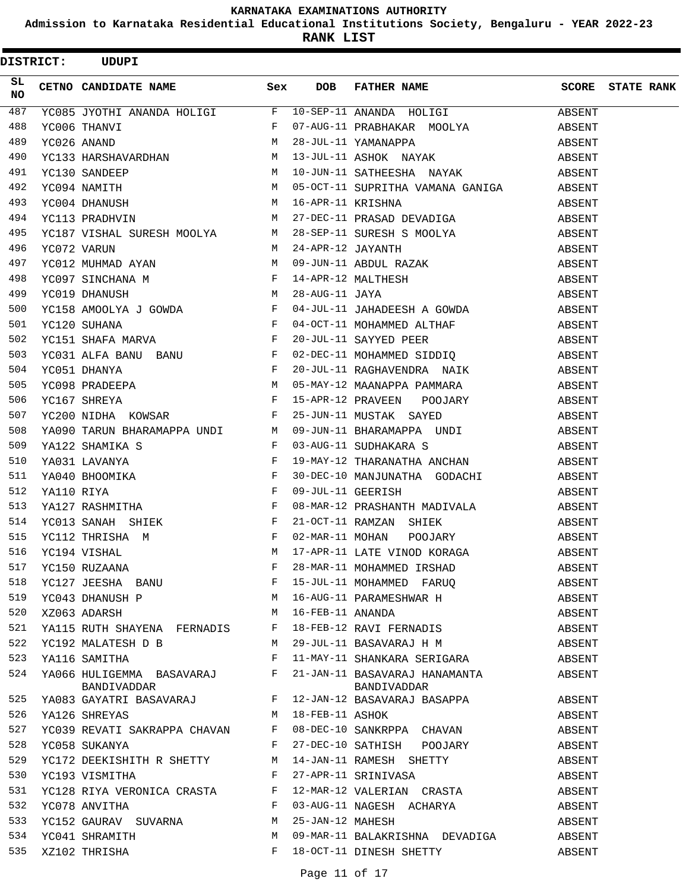**Admission to Karnataka Residential Educational Institutions Society, Bengaluru - YEAR 2022-23**

**RANK LIST**

 $\text{DISTRICT:}$  UDUPI

| SL<br><b>NO</b> |                                                |   |                 | CETNO CANDIDATE NAME Sex DOB FATHER NAME SCORE STATE RANK                                                                                                                                                                                                                                                                                                                                                                                    |        |  |
|-----------------|------------------------------------------------|---|-----------------|----------------------------------------------------------------------------------------------------------------------------------------------------------------------------------------------------------------------------------------------------------------------------------------------------------------------------------------------------------------------------------------------------------------------------------------------|--------|--|
| 487             |                                                |   |                 | $\begin{tabular}{l c c c c c} \multicolumn{1}{c}{\textbf{YCO85 JYOTHI ANANDA HOLIGI}} & $\mathbf{F}$ & $10-SEP-11~ANANDA HOLIGI}$ & ABSENT \\ \multicolumn{1}{c}{\textbf{YCO06 THANVI}} & $\mathbf{F}$ & $07-\text{AUG}-11~ PRABHAKAR MOOLYA}$ & ABSENT \\ \multicolumn{1}{c}{\textbf{YCO26 ANAND}} & $\mathsf{M}$ & $28-\text{JUL}-11~ XAMANAPPA}$ & ABSENT \\ \multicolumn{1}{c}{\textbf{YCO26 ANAND}} & $\mathsf{M}$ & $13-\text{JUL}-11$ |        |  |
| 488             |                                                |   |                 |                                                                                                                                                                                                                                                                                                                                                                                                                                              |        |  |
| 489             |                                                |   |                 |                                                                                                                                                                                                                                                                                                                                                                                                                                              |        |  |
| 490             |                                                |   |                 |                                                                                                                                                                                                                                                                                                                                                                                                                                              |        |  |
| 491             |                                                |   |                 |                                                                                                                                                                                                                                                                                                                                                                                                                                              |        |  |
| 492             |                                                |   |                 |                                                                                                                                                                                                                                                                                                                                                                                                                                              |        |  |
| 493             |                                                |   |                 |                                                                                                                                                                                                                                                                                                                                                                                                                                              |        |  |
| 494             |                                                |   |                 |                                                                                                                                                                                                                                                                                                                                                                                                                                              |        |  |
| 495             |                                                |   |                 |                                                                                                                                                                                                                                                                                                                                                                                                                                              |        |  |
| 496             |                                                |   |                 |                                                                                                                                                                                                                                                                                                                                                                                                                                              |        |  |
| 497             |                                                |   |                 |                                                                                                                                                                                                                                                                                                                                                                                                                                              |        |  |
| 498             |                                                |   |                 |                                                                                                                                                                                                                                                                                                                                                                                                                                              |        |  |
| 499             |                                                |   |                 |                                                                                                                                                                                                                                                                                                                                                                                                                                              |        |  |
| 500             |                                                |   |                 |                                                                                                                                                                                                                                                                                                                                                                                                                                              |        |  |
| 501             |                                                |   |                 |                                                                                                                                                                                                                                                                                                                                                                                                                                              |        |  |
| 502             |                                                |   |                 |                                                                                                                                                                                                                                                                                                                                                                                                                                              |        |  |
| 503             |                                                |   |                 |                                                                                                                                                                                                                                                                                                                                                                                                                                              |        |  |
| 504             |                                                |   |                 |                                                                                                                                                                                                                                                                                                                                                                                                                                              |        |  |
| 505             |                                                |   |                 |                                                                                                                                                                                                                                                                                                                                                                                                                                              |        |  |
| 506             |                                                |   |                 |                                                                                                                                                                                                                                                                                                                                                                                                                                              |        |  |
| 507             |                                                |   |                 |                                                                                                                                                                                                                                                                                                                                                                                                                                              |        |  |
| 508             |                                                |   |                 |                                                                                                                                                                                                                                                                                                                                                                                                                                              |        |  |
| 509             |                                                |   |                 |                                                                                                                                                                                                                                                                                                                                                                                                                                              |        |  |
| 510             |                                                |   |                 |                                                                                                                                                                                                                                                                                                                                                                                                                                              |        |  |
| 511             |                                                |   |                 | TOOT DHANOIS IN THE SECTION IN THE ANNEXE AND DESIGNATION ASSESSMENT WAS CREATED AN ABSESSMENT WAS ARREST TO THE SECTION OF A SESSMENT WAS ARREST TO THE MANUFALL AND A SUBSESSMENT ON THE SECTION OF SHEEP AND THE SECTION O                                                                                                                                                                                                                |        |  |
| 512             |                                                |   |                 |                                                                                                                                                                                                                                                                                                                                                                                                                                              |        |  |
| 513             |                                                |   |                 |                                                                                                                                                                                                                                                                                                                                                                                                                                              |        |  |
| 514             |                                                |   |                 |                                                                                                                                                                                                                                                                                                                                                                                                                                              |        |  |
| 515             |                                                |   |                 |                                                                                                                                                                                                                                                                                                                                                                                                                                              |        |  |
| 516             |                                                |   |                 |                                                                                                                                                                                                                                                                                                                                                                                                                                              |        |  |
| 517             |                                                |   |                 |                                                                                                                                                                                                                                                                                                                                                                                                                                              |        |  |
| 518             |                                                |   |                 |                                                                                                                                                                                                                                                                                                                                                                                                                                              |        |  |
| 519             | M <sub>N</sub><br>YC043 DHANUSH P              |   |                 | 16-AUG-11 PARAMESHWAR H                                                                                                                                                                                                                                                                                                                                                                                                                      | ABSENT |  |
| 520             | M<br>XZ063 ADARSH                              |   |                 |                                                                                                                                                                                                                                                                                                                                                                                                                                              | ABSENT |  |
| 521             | YA115 RUTH SHAYENA FERNADIS F                  |   |                 | 16-FEB-11 ANANDA<br>18-FEB-12 RAVI FERNADIS                                                                                                                                                                                                                                                                                                                                                                                                  | ABSENT |  |
| 522             | YC192 MALATESH D B                             | M |                 | 29-JUL-11 BASAVARAJ H M                                                                                                                                                                                                                                                                                                                                                                                                                      | ABSENT |  |
| 523             | $\mathbf{F}$ and $\mathbf{F}$<br>YA116 SAMITHA |   |                 | 11-MAY-11 SHANKARA SERIGARA                                                                                                                                                                                                                                                                                                                                                                                                                  | ABSENT |  |
| 524             | YA066 HULIGEMMA BASAVARAJ F<br>BANDIVADDAR     |   |                 | 21-JAN-11 BASAVARAJ HANAMANTA<br>BANDIVADDAR                                                                                                                                                                                                                                                                                                                                                                                                 | ABSENT |  |
| 525             | BANDIVADDAR<br>TAO83 GAYATRI BASAVARAJ F       |   |                 | 12-JAN-12 BASAVARAJ BASAPPA                                                                                                                                                                                                                                                                                                                                                                                                                  | ABSENT |  |
| 526             | M <sub>1</sub><br>YA126 SHREYAS                |   | 18-FEB-11 ASHOK |                                                                                                                                                                                                                                                                                                                                                                                                                                              | ABSENT |  |
| 527             | YC039 REVATI SAKRAPPA CHAVAN F                 |   |                 | 08-DEC-10 SANKRPPA CHAVAN                                                                                                                                                                                                                                                                                                                                                                                                                    | ABSENT |  |
| 528             | YC058 SUKANYA                                  | F |                 | 27-DEC-10 SATHISH POOJARY                                                                                                                                                                                                                                                                                                                                                                                                                    | ABSENT |  |
| 529             | YC172 DEEKISHITH R SHETTY M                    |   |                 | 14-JAN-11 RAMESH SHETTY                                                                                                                                                                                                                                                                                                                                                                                                                      | ABSENT |  |
| 530             | <b>Example 19</b><br>YC193 VISMITHA            |   |                 |                                                                                                                                                                                                                                                                                                                                                                                                                                              | ABSENT |  |
| 531             | YC128 RIYA VERONICA CRASTA F                   |   |                 | 27-APR-11 SRINIVASA<br>12-MAR-12 VALERIAN CRASTA                                                                                                                                                                                                                                                                                                                                                                                             | ABSENT |  |
| 532             | YC078 ANVITHA                                  | F |                 | 03-AUG-11 NAGESH ACHARYA                                                                                                                                                                                                                                                                                                                                                                                                                     | ABSENT |  |
| 533             | YC152 GAURAV SUVARNA                           | M |                 | 25-JAN-12 MAHESH                                                                                                                                                                                                                                                                                                                                                                                                                             | ABSENT |  |
| 534             | YC041 SHRAMITH                                 | M |                 | 09-MAR-11 BALAKRISHNA DEVADIGA                                                                                                                                                                                                                                                                                                                                                                                                               | ABSENT |  |
| 535             | XZ102 THRISHA                                  | F |                 | 18-OCT-11 DINESH SHETTY                                                                                                                                                                                                                                                                                                                                                                                                                      | ABSENT |  |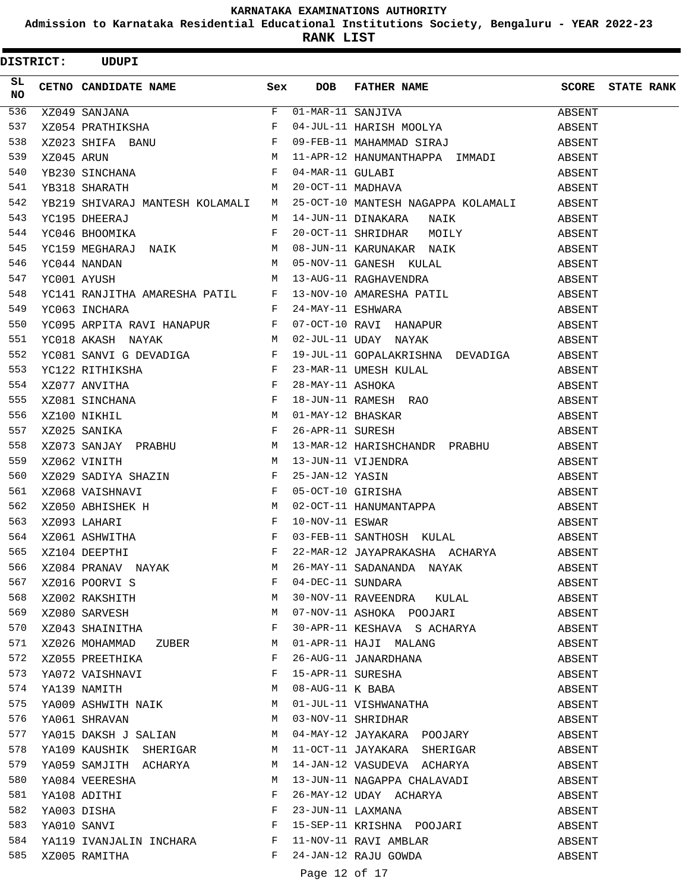**Admission to Karnataka Residential Educational Institutions Society, Bengaluru - YEAR 2022-23**

**RANK LIST**

| <b>DISTRICT:</b> | <b>UDUPI</b>                                                                                                                                                                   |              |     |                                                                                                                                                                                                                                                                                                         |        |                         |
|------------------|--------------------------------------------------------------------------------------------------------------------------------------------------------------------------------|--------------|-----|---------------------------------------------------------------------------------------------------------------------------------------------------------------------------------------------------------------------------------------------------------------------------------------------------------|--------|-------------------------|
| SL<br><b>NO</b>  | CETNO CANDIDATE NAME Sex                                                                                                                                                       |              | DOB | FATHER NAME                                                                                                                                                                                                                                                                                             |        | <b>SCORE</b> STATE RANK |
| 536              | $\overline{F}$                                                                                                                                                                 |              |     | $\overline{01-MAR} - 11$ SANJIVA                                                                                                                                                                                                                                                                        |        |                         |
| 537              |                                                                                                                                                                                |              |     |                                                                                                                                                                                                                                                                                                         |        |                         |
| 538              |                                                                                                                                                                                |              |     |                                                                                                                                                                                                                                                                                                         |        |                         |
| 539              |                                                                                                                                                                                |              |     |                                                                                                                                                                                                                                                                                                         |        |                         |
| 540              |                                                                                                                                                                                |              |     |                                                                                                                                                                                                                                                                                                         |        |                         |
| 541              | $\mathbf M$<br>YB318 SHARATH                                                                                                                                                   |              |     | 20-OCT-11 MADHAVA                                                                                                                                                                                                                                                                                       | ABSENT |                         |
| 542              | YB219 SHIVARAJ MANTESH KOLAMALI M                                                                                                                                              |              |     | 25-OCT-10 MANTESH NAGAPPA KOLAMALI ABSENT                                                                                                                                                                                                                                                               |        |                         |
| 543              | YC195 DHEERAJ                                                                                                                                                                  |              |     | M 14-JUN-11 DINAKARA NAIK                                                                                                                                                                                                                                                                               | ABSENT |                         |
| 544              | YC046 BHOOMIKA                                                                                                                                                                 | $\mathbf{F}$ |     | 20-OCT-11 SHRIDHAR MOILY                                                                                                                                                                                                                                                                                | ABSENT |                         |
| 545              | YC159 MEGHARAJ NAIK M                                                                                                                                                          |              |     | 08-JUN-11 KARUNAKAR NAIK                                                                                                                                                                                                                                                                                | ABSENT |                         |
| 546              | YC044 NANDAN                                                                                                                                                                   |              |     | M 05-NOV-11 GANESH KULAL<br>M 13-AUG-11 RAGHAVENDRA                                                                                                                                                                                                                                                     | ABSENT |                         |
| 547              | YC001 AYUSH                                                                                                                                                                    |              |     |                                                                                                                                                                                                                                                                                                         | ABSENT |                         |
| 548              |                                                                                                                                                                                |              |     | YC141 RANJITHA AMARESHA PATIL F 13-NOV-10 AMARESHA PATIL                                                                                                                                                                                                                                                | ABSENT |                         |
| 549              | $\mathbf{F}$ and $\mathbf{F}$ and $\mathbf{F}$<br>YC063 INCHARA                                                                                                                |              |     | 24-MAY-11 ESHWARA ABSENT                                                                                                                                                                                                                                                                                |        |                         |
| 550              |                                                                                                                                                                                |              |     |                                                                                                                                                                                                                                                                                                         | ABSENT |                         |
| 551              | YC095 ARPITA RAVI HANAPUR          F   07-OCT-10 RAVI  HANAPUR<br>YC018 AKASH  NAYAK                       M   02-JUL-11 UDAY  NAYAK                                           |              |     | 02-JUL-11 UDAY NAYAK                                                                                                                                                                                                                                                                                    | ABSENT |                         |
| 552              | YC081 SANVI G DEVADIGA F                                                                                                                                                       |              |     | 19-JUL-11 GOPALAKRISHNA DEVADIGA                                                                                                                                                                                                                                                                        | ABSENT |                         |
| 553              |                                                                                                                                                                                |              |     |                                                                                                                                                                                                                                                                                                         |        |                         |
| 554              |                                                                                                                                                                                |              |     |                                                                                                                                                                                                                                                                                                         |        |                         |
| 555              |                                                                                                                                                                                |              |     |                                                                                                                                                                                                                                                                                                         |        |                         |
| 556              | YCL22 RITHIKSHA F<br>XZ077 ANVITHA F<br>XZ077 ANVITHA F<br>XZ081 SINCHANA F<br>XZ100 NIKHIL M<br>XZ025 SANIKA F                                                                |              |     | %23-MAR-11 UMESH KULAL ABSENT ABSENT<br>$28\texttt{-} \texttt{MAX} - 11 \texttt{ RAMESH} \texttt{RAO} \texttt{ABSENT} \texttt{ABSENT} \texttt{N1} - \texttt{MAX} - 12 \texttt{BHASKAR} \texttt{ABSENT} \texttt{ABSENT} \texttt{ABSENT} \texttt{ABSENT} \texttt{ABSENT} \texttt{ABSENT} \texttt{ABSENT}$ |        |                         |
| 557              |                                                                                                                                                                                |              |     |                                                                                                                                                                                                                                                                                                         |        |                         |
| 558              |                                                                                                                                                                                |              |     |                                                                                                                                                                                                                                                                                                         |        |                         |
| 559              |                                                                                                                                                                                |              |     |                                                                                                                                                                                                                                                                                                         | ABSENT |                         |
| 560              |                                                                                                                                                                                |              |     |                                                                                                                                                                                                                                                                                                         |        |                         |
| 561              | xz062 VINITH M 13-JUN-11 VIJENDRA<br>xz029 SADIYA SHAZIN F 25-JAN-12 YASIN<br>xz068 VAISHNAVI F 05-OCT-10 GIRISHA                                                              |              |     | 25-JAN-12 YASIN ABSENT<br>05-OCT-10 GIRISHA ABSENT<br>02-OCT-11 HANUMANTAPPA ABSENT<br>10-NOV-11 ESWAR ABSENT                                                                                                                                                                                           |        |                         |
| 562              |                                                                                                                                                                                |              |     |                                                                                                                                                                                                                                                                                                         |        |                         |
| 563              | XZ050 ABHISHEK H<br>XZ093 LAHARI F<br>XZ061 ASHWITHA F<br>XZ104 DEEPTHI F                                                                                                      |              |     |                                                                                                                                                                                                                                                                                                         |        |                         |
| 564              |                                                                                                                                                                                |              |     | 03-FEB-11 SANTHOSH KULAL ABSENT                                                                                                                                                                                                                                                                         |        |                         |
| 565              |                                                                                                                                                                                |              |     |                                                                                                                                                                                                                                                                                                         |        |                         |
| 566              |                                                                                                                                                                                |              |     | 22-MAR-12 JAYAPRAKASHA ACHARYA     ABSENT                                                                                                                                                                                                                                                               |        |                         |
|                  | XZ084 PRANAV NAYAK M 26-MAY-11 SADANANDA NAYAK<br>XZ016 POORVI S F 04-DEC-11 SUNDARA<br>XZ002 RAKSHITH M 30-NOV-11 RAVEENDRA KULAL<br>XZ080 SARVESH M 07-NOV-11 ASHOKA POOJARI |              |     | 26-MAY-11 SADANANDA NAYAK                                                                                                                                                                                                                                                                               | ABSENT |                         |
| 567              |                                                                                                                                                                                |              |     |                                                                                                                                                                                                                                                                                                         | ABSENT |                         |
| 568              |                                                                                                                                                                                |              |     | 30-NOV-11 RAVEENDRA KULAL                                                                                                                                                                                                                                                                               | ABSENT |                         |
| 569              |                                                                                                                                                                                |              |     | 07-NOV-11 ASHOKA POOJARI                                                                                                                                                                                                                                                                                | ABSENT |                         |
| 570              | $XZ043$ SHAINITHA F                                                                                                                                                            |              |     | 30-APR-11 KESHAVA S ACHARYA                                                                                                                                                                                                                                                                             | ABSENT |                         |
| 571              | XZ026 MOHAMMAD ZUBER M                                                                                                                                                         |              |     | 01-APR-11 HAJI MALANG                                                                                                                                                                                                                                                                                   | ABSENT |                         |
| 572              | XZ055 PREETHIKA F                                                                                                                                                              |              |     | 26-AUG-11 JANARDHANA                                                                                                                                                                                                                                                                                    | ABSENT |                         |
| 573              | YA072 VAISHNAVI F                                                                                                                                                              |              |     | 15-APR-11 SURESHA<br>08-AUG-11 K BABA<br>01-JUL-11 VISHWANATHA                                                                                                                                                                                                                                          | ABSENT |                         |
| 574              | YA139 NAMITH M                                                                                                                                                                 |              |     |                                                                                                                                                                                                                                                                                                         | ABSENT |                         |
| 575              | YA009 ASHWITH NAIK M                                                                                                                                                           |              |     |                                                                                                                                                                                                                                                                                                         | ABSENT |                         |
| 576              | M<br>YA061 SHRAVAN                                                                                                                                                             |              |     | 03-NOV-11 SHRIDHAR                                                                                                                                                                                                                                                                                      | ABSENT |                         |
| 577              | YA015 DAKSH J SALIAN M                                                                                                                                                         |              |     | 04-MAY-12 JAYAKARA POOJARY                                                                                                                                                                                                                                                                              | ABSENT |                         |
| 578              | YA109 KAUSHIK SHERIGAR M 11-OCT-11 JAYAKARA SHERIGAR                                                                                                                           |              |     |                                                                                                                                                                                                                                                                                                         | ABSENT |                         |
| 579              |                                                                                                                                                                                |              |     | YA059 SAMJITH ACHARYA M M 14-JAN-12 VASUDEVA ACHARYA                                                                                                                                                                                                                                                    | ABSENT |                         |
| 580              | YA084 VEERESHA M                                                                                                                                                               |              |     | 13-JUN-11 NAGAPPA CHALAVADI                                                                                                                                                                                                                                                                             | ABSENT |                         |
| 581              | $\mathbf{F}$<br>YA108 ADITHI                                                                                                                                                   |              |     | 26-MAY-12 UDAY ACHARYA<br>23-JUN-11 LAXMANA                                                                                                                                                                                                                                                             | ABSENT |                         |
| 582              | YA108 ADIIRI<br>YA003 DISHA F<br>YA010 SANVI F                                                                                                                                 |              |     |                                                                                                                                                                                                                                                                                                         | ABSENT |                         |
| 583              |                                                                                                                                                                                |              |     | 15-SEP-11 KRISHNA POOJARI                                                                                                                                                                                                                                                                               | ABSENT |                         |
| 584              | YA119 IVANJALIN INCHARA F                                                                                                                                                      |              |     | 11-NOV-11 RAVI AMBLAR                                                                                                                                                                                                                                                                                   | ABSENT |                         |
| 585              | $\mathbf{F}$ and $\mathbf{F}$ and $\mathbf{F}$<br>XZ005 RAMITHA                                                                                                                |              |     | 24-JAN-12 RAJU GOWDA                                                                                                                                                                                                                                                                                    | ABSENT |                         |

Page 12 of 17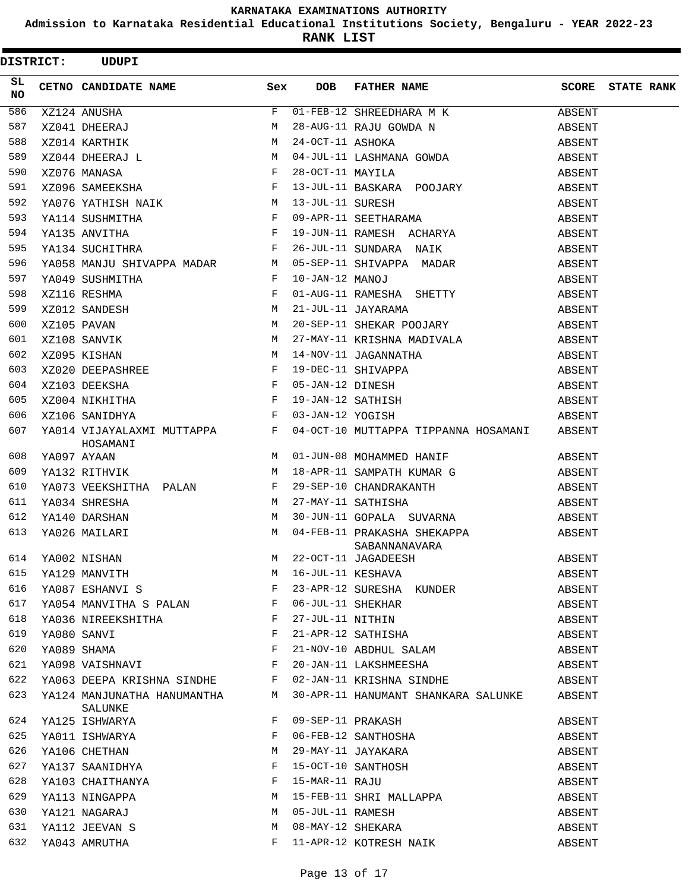**Admission to Karnataka Residential Educational Institutions Society, Bengaluru - YEAR 2022-23**

| <b>DISTRICT:</b> |  | <b>UDUPI</b>                                                                                                                                |     |                  |                                                                                                                                              |        |                   |
|------------------|--|---------------------------------------------------------------------------------------------------------------------------------------------|-----|------------------|----------------------------------------------------------------------------------------------------------------------------------------------|--------|-------------------|
| SL<br><b>NO</b>  |  | CETNO CANDIDATE NAME                                                                                                                        | Sex | <b>DOB</b>       | FATHER NAME                                                                                                                                  | SCORE  | <b>STATE RANK</b> |
| 586              |  | E<br>XZ041 DHEERAJ M<br>XZ014 KARTHIK M<br>XZ044 DHEERAJ L M<br>XZ076 MANASA F<br>XZ076 SAMEEKSHA F                                         |     |                  | 01-FEB-12 SHREEDHARA M K                                                                                                                     | ABSENT |                   |
| 587              |  |                                                                                                                                             |     |                  | 28-AUG-11 RAJU GOWDA N                                                                                                                       | ABSENT |                   |
| 588              |  |                                                                                                                                             |     | 24-OCT-11 ASHOKA |                                                                                                                                              | ABSENT |                   |
| 589              |  |                                                                                                                                             |     |                  | 04-JUL-11 LASHMANA GOWDA                                                                                                                     | ABSENT |                   |
| 590              |  |                                                                                                                                             |     | 28-OCT-11 MAYILA |                                                                                                                                              | ABSENT |                   |
| 591              |  |                                                                                                                                             |     |                  | 13-JUL-11 BASKARA POOJARY                                                                                                                    | ABSENT |                   |
| 592              |  |                                                                                                                                             |     |                  |                                                                                                                                              | ABSENT |                   |
| 593              |  | YA114 SUSHMITHA                                                                                                                             |     |                  | F 09-APR-11 SEETHARAMA<br>F 19-JUN-11 RAMESH ACHARYA                                                                                         | ABSENT |                   |
| 594              |  | YA135 ANVITHA                                                                                                                               |     |                  | 19-JUN-11 RAMESH ACHARYA                                                                                                                     | ABSENT |                   |
| 595              |  | $\mathbf{F}$<br>YA134 SUCHITHRA                                                                                                             |     |                  | 26-JUL-11 SUNDARA NAIK                                                                                                                       | ABSENT |                   |
| 596              |  |                                                                                                                                             |     |                  | YA058 MANJU SHIVAPPA MADAR M 05-SEP-11 SHIVAPPA MADAR                                                                                        | ABSENT |                   |
| 597              |  | YA049 SUSHMITHA                                                                                                                             | F   | 10-JAN-12 MANOJ  |                                                                                                                                              | ABSENT |                   |
| 598              |  | $\mathbf{F}$ . The set of $\mathbf{F}$<br>XZ116 RESHMA                                                                                      |     |                  | 01-AUG-11 RAMESHA SHETTY                                                                                                                     | ABSENT |                   |
| 599              |  | $\begin{array}{ccc}\nM & & & \\ M & & & \\ M & & & \\ M & & & \\ M & & & \\ M & & & \n\end{array}$<br>XZ012 SANDESH                         |     |                  | 21-JUL-11 JAYARAMA                                                                                                                           | ABSENT |                   |
| 600              |  | XZ105 PAVAN                                                                                                                                 |     |                  | 20-SEP-11 SHEKAR POOJARY                                                                                                                     | ABSENT |                   |
| 601              |  | XZ108 SANVIK                                                                                                                                |     |                  | 27-MAY-11 KRISHNA MADIVALA                                                                                                                   | ABSENT |                   |
| 602              |  | XZ095 KISHAN                                                                                                                                |     |                  | 14-NOV-11 JAGANNATHA                                                                                                                         | ABSENT |                   |
| 603              |  | XZ020 DEEPASHREE F                                                                                                                          |     |                  | 19-DEC-11 SHIVAPPA                                                                                                                           | ABSENT |                   |
| 604              |  |                                                                                                                                             |     |                  |                                                                                                                                              | ABSENT |                   |
| 605              |  |                                                                                                                                             |     |                  | 19-DEC-11 SHIVAPPA<br>05-JAN-12 DINESH<br>19-JAN-12 SATHISH                                                                                  | ABSENT |                   |
| 606              |  | xz103 DEEKSHA<br>xz004 NIKHITHA<br>xz004 NIKHITHA<br>xz106 SANIDHYA<br>xz106 SANIDHYA<br>xz106 SANIDHYA<br>xz106 SANIDHYA<br>xz106 SANIDHYA |     |                  |                                                                                                                                              | ABSENT |                   |
| 607              |  | HOSAMANI                                                                                                                                    |     |                  | YA014 VIJAYALAXMI MUTTAPPA $F$ 04-OCT-10 MUTTAPPA TIPPANNA HOSAMANI ABSENT                                                                   |        |                   |
| 608              |  | YA097 AYAAN                                                                                                                                 |     |                  | M 01-JUN-08 MOHAMMED HANIF                                                                                                                   | ABSENT |                   |
| 609              |  | M<br>YA132 RITHVIK                                                                                                                          |     |                  | 18-APR-11 SAMPATH KUMAR G                                                                                                                    | ABSENT |                   |
| 610              |  | YA073 VEEKSHITHA PALAN F 29-SEP-10 CHANDRAKANTH                                                                                             |     |                  |                                                                                                                                              | ABSENT |                   |
| 611              |  | M <sub>N</sub><br>YA034 SHRESHA                                                                                                             |     |                  | 27-MAY-11 SATHISHA                                                                                                                           | ABSENT |                   |
| 612              |  | M<br>YA140 DARSHAN                                                                                                                          |     |                  | 30-JUN-11 GOPALA SUVARNA                                                                                                                     | ABSENT |                   |
| 613              |  | YA026 MAILARI<br>SABANNANAV<br>M 22-OCT-11 JAGADEESH                                                                                        |     |                  | M 04-FEB-11 PRAKASHA SHEKAPPA<br>SABANNANAVARA                                                                                               | ABSENT |                   |
|                  |  | 614 YA002 NISHAN                                                                                                                            |     |                  |                                                                                                                                              | ABSENT |                   |
|                  |  |                                                                                                                                             |     |                  | $614$ $14002$ N1SHAN<br>$615$ $YA129$ MANVITH<br>$616$ $YA087$ ESHANVI S<br>$F$ $23-APR-12$ SURESHA KUNDER<br>$F$ $23-APR-12$ SURESHA KUNDER | ABSENT |                   |
|                  |  |                                                                                                                                             |     |                  |                                                                                                                                              | ABSENT |                   |
| 617              |  | YA054 MANVITHA S PALAN F 06-JUL-11 SHEKHAR                                                                                                  |     |                  |                                                                                                                                              | ABSENT |                   |
| 618              |  | YA036 NIREEKSHITHA F 27-JUL-11 NITHIN                                                                                                       |     |                  |                                                                                                                                              | ABSENT |                   |
| 619              |  | $\mathbf{F}$ and $\mathbf{F}$<br>YA080 SANVI                                                                                                |     |                  | 21-APR-12 SATHISHA                                                                                                                           | ABSENT |                   |
| 620              |  |                                                                                                                                             |     |                  |                                                                                                                                              | ABSENT |                   |
| 621              |  |                                                                                                                                             |     |                  |                                                                                                                                              | ABSENT |                   |
|                  |  |                                                                                                                                             |     |                  | 622 YA063 DEEPA KRISHNA SINDHE F 02-JAN-11 KRISHNA SINDHE                                                                                    | ABSENT |                   |
|                  |  | SALUNKE                                                                                                                                     |     |                  | 623 YA124 MANJUNATHA HANUMANTHA M 30-APR-11 HANUMANT SHANKARA SALUNKE ABSENT                                                                 |        |                   |
|                  |  | 624 YA125 ISHWARYA                                                                                                                          |     |                  | F 09-SEP-11 PRAKASH                                                                                                                          | ABSENT |                   |
| 625              |  | YA011 ISHWARYA                                                                                                                              |     |                  | F 06-FEB-12 SANTHOSHA                                                                                                                        | ABSENT |                   |
| 626              |  | THUIT ISIMINIII<br>YA106 CHETHAN M 29-MAY-11 JAYAKARA<br>YA137 SAANIDHYA F 15-OCT-10 SANTHOSH                                               |     |                  |                                                                                                                                              | ABSENT |                   |
| 627              |  |                                                                                                                                             |     |                  |                                                                                                                                              | ABSENT |                   |
| 628              |  | YA103 CHAITHANYA <b>E 15-MAR-11 RAJU</b>                                                                                                    |     |                  | YA113 NINGAPPA<br>YA113 NINGAPPA<br>YA121 NAGARAJ M 05-JUL-11 PAMEGY<br>YA119 --                                                             | ABSENT |                   |
| 629              |  |                                                                                                                                             |     |                  |                                                                                                                                              | ABSENT |                   |
| 630              |  |                                                                                                                                             |     |                  |                                                                                                                                              | ABSENT |                   |
| 631              |  | YA112 JEEVAN S                                                                                                                              |     |                  | M 08-MAY-12 SHEKARA                                                                                                                          | ABSENT |                   |
|                  |  | 632 YA043 AMRUTHA                                                                                                                           |     |                  | F 11-APR-12 KOTRESH NAIK                                                                                                                     | ABSENT |                   |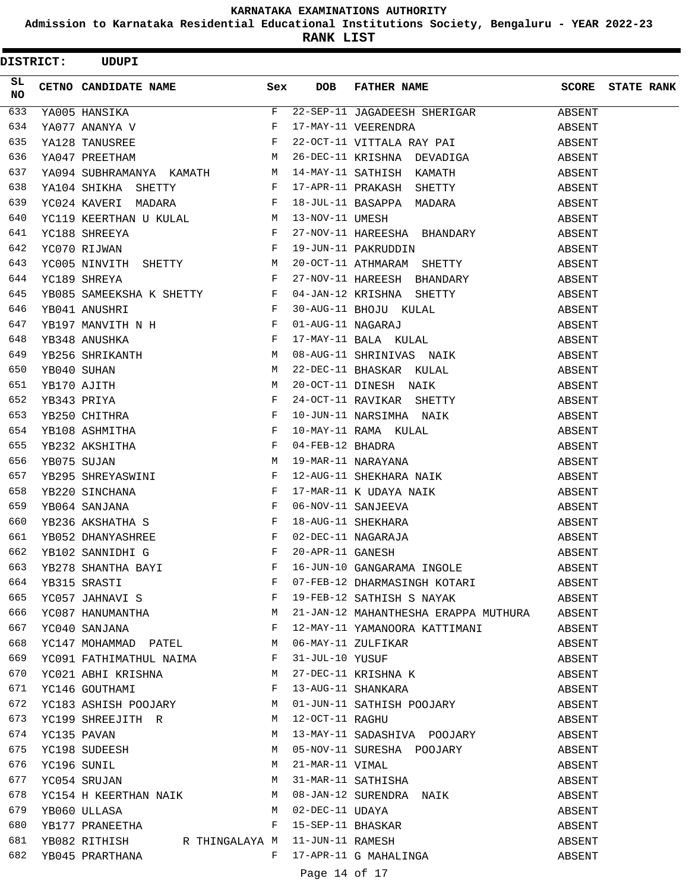**Admission to Karnataka Residential Educational Institutions Society, Bengaluru - YEAR 2022-23**

| <b>DISTRICT:</b> |             | <b>UDUPI</b>                                                                                                                                                                                                                                              |            |                   |                                             |        |                         |
|------------------|-------------|-----------------------------------------------------------------------------------------------------------------------------------------------------------------------------------------------------------------------------------------------------------|------------|-------------------|---------------------------------------------|--------|-------------------------|
| SL<br><b>NO</b>  |             | CETNO CANDIDATE NAME                                                                                                                                                                                                                                      | Sex        | <b>DOB</b>        | FATHER NAME                                 |        | <b>SCORE</b> STATE RANK |
| 633              |             | YA005 HANSIKA                                                                                                                                                                                                                                             | F          |                   | 22-SEP-11 JAGADEESH SHERIGAR                | ABSENT |                         |
| 634              |             | YA077 ANANYA V                                                                                                                                                                                                                                            | F          |                   | 17-MAY-11 VEERENDRA                         | ABSENT |                         |
| 635              |             | $\begin{aligned} \mathbf{F} \\ \mathbf{M} \end{aligned}$<br>YA128 TANUSREE                                                                                                                                                                                |            |                   | 22-OCT-11 VITTALA RAY PAI                   | ABSENT |                         |
| 636              |             | M<br>YA047 PREETHAM                                                                                                                                                                                                                                       |            |                   | 26-DEC-11 KRISHNA DEVADIGA                  | ABSENT |                         |
| 637              |             | YA094 SUBHRAMANYA KAMATH M                                                                                                                                                                                                                                |            |                   | 14-MAY-11 SATHISH KAMATH                    | ABSENT |                         |
| 638              |             | YA104 SHIKHA SHETTY                                                                                                                                                                                                                                       | F          |                   | 17-APR-11 PRAKASH SHETTY                    | ABSENT |                         |
| 639              |             | YC024 KAVERI MADARA                                                                                                                                                                                                                                       | F          |                   | 18-JUL-11 BASAPPA MADARA                    | ABSENT |                         |
| 640              |             | YC119 KEERTHAN U KULAL                                                                                                                                                                                                                                    | M          | 13-NOV-11 UMESH   |                                             | ABSENT |                         |
| 641              |             | YC188 SHREEYA                                                                                                                                                                                                                                             | F          |                   | 27-NOV-11 HAREESHA BHANDARY                 | ABSENT |                         |
| 642              |             | $\mathbf{F}$ and $\mathbf{F}$<br>YC070 RIJWAN                                                                                                                                                                                                             |            |                   | 19-JUN-11 PAKRUDDIN                         | ABSENT |                         |
| 643              |             | YC005 NINVITH SHETTY M                                                                                                                                                                                                                                    |            |                   | 20-OCT-11 ATHMARAM SHETTY                   | ABSENT |                         |
| 644              |             | YC189 SHREYA                                                                                                                                                                                                                                              | F          |                   | 27-NOV-11 HAREESH BHANDARY                  | ABSENT |                         |
| 645              |             | YB085 SAMEEKSHA K SHETTY F                                                                                                                                                                                                                                |            |                   | 04-JAN-12 KRISHNA SHETTY                    | ABSENT |                         |
| 646              |             | $\mathbf{F}$ . The set of $\mathbf{F}$<br>YB041 ANUSHRI                                                                                                                                                                                                   |            |                   | 30-AUG-11 BHOJU KULAL                       | ABSENT |                         |
| 647              |             | $\mathbb F$ . The set of $\mathbb F$<br>YB197 MANVITH N H                                                                                                                                                                                                 |            | 01-AUG-11 NAGARAJ |                                             | ABSENT |                         |
| 648              |             | THE CONTROL IS TO THE CONTRACT THE RESPONDING THE RESPONDING TO THE RESPONDENT TO THE RESPONDENT TO THE RESPONDENT OF THE RESPONDENT OF THE RESPONDENT OF THE RESPONDENT OF THE RESPONDENT OF THE RESPONDENT OF THE RESPONDENT                            |            |                   | 17-MAY-11 BALA KULAL                        | ABSENT |                         |
| 649              |             |                                                                                                                                                                                                                                                           |            |                   | 08-AUG-11 SHRINIVAS NAIK                    | ABSENT |                         |
| 650              |             | YB040 SUHAN                                                                                                                                                                                                                                               | М          |                   | 22-DEC-11 BHASKAR KULAL                     | ABSENT |                         |
| 651              |             | YB170 AJITH                                                                                                                                                                                                                                               | М          |                   | 20-OCT-11 DINESH NAIK                       | ABSENT |                         |
| 652              | YB343 PRIYA |                                                                                                                                                                                                                                                           | F          |                   | 24-OCT-11 RAVIKAR SHETTY                    | ABSENT |                         |
| 653              |             | YB250 CHITHRA                                                                                                                                                                                                                                             | F          |                   | 10-JUN-11 NARSIMHA NAIK                     | ABSENT |                         |
| 654              |             | $\mathbf{F}$ and $\mathbf{F}$<br>YB108 ASHMITHA                                                                                                                                                                                                           |            |                   | 10-MAY-11 RAMA KULAL                        | ABSENT |                         |
| 655              |             | $\begin{aligned} \mathbf{F} \\ \mathbf{M} \end{aligned}$<br>YB232 AKSHITHA                                                                                                                                                                                |            | 04-FEB-12 BHADRA  |                                             | ABSENT |                         |
| 656              |             | YB075 SUJAN                                                                                                                                                                                                                                               |            |                   | 19-MAR-11 NARAYANA                          | ABSENT |                         |
| 657              |             | YB295 SHREYASWINI F                                                                                                                                                                                                                                       |            |                   | 12-AUG-11 SHEKHARA NAIK                     | ABSENT |                         |
| 658              |             | $\mathbf{F}$ and $\mathbf{F}$ and $\mathbf{F}$<br>YB220 SINCHANA                                                                                                                                                                                          |            |                   | 17-MAR-11 K UDAYA NAIK                      | ABSENT |                         |
| 659              |             | $\mathbf{F}$<br>YB064 SANJANA                                                                                                                                                                                                                             |            |                   | 06-NOV-11 SANJEEVA                          | ABSENT |                         |
| 660              |             | $\mathbf{F}$<br>YB236 AKSHATHA S                                                                                                                                                                                                                          |            |                   | 18-AUG-11 SHEKHARA                          | ABSENT |                         |
| 661              |             | $\mathbf{F}$ and $\mathbf{F}$ are the set of the set of the set of the set of the set of the set of the set of the set of the set of the set of the set of the set of the set of the set of the set of the set of the set of the set<br>YB052 DHANYASHREE |            |                   | 02-DEC-11 NAGARAJA                          | ABSENT |                         |
| 662              |             | YB102 SANNIDHI G                                                                                                                                                                                                                                          | $_{\rm F}$ | 20-APR-11 GANESH  |                                             | ABSENT |                         |
| 663              |             |                                                                                                                                                                                                                                                           |            |                   | 16-JUN-10 GANGARAMA INGOLE                  | ABSENT |                         |
| 664              |             | YB278 SHANTHA BAYI F<br>YB315 SRASTI F<br>YC057 JAHNAVI S F                                                                                                                                                                                               |            |                   | 07-FEB-12 DHARMASINGH KOTARI                | ABSENT |                         |
| 665              |             |                                                                                                                                                                                                                                                           |            |                   | 19-FEB-12 SATHISH S NAYAK ABSENT            |        |                         |
| 666              |             | YC087 HANUMANTHA M                                                                                                                                                                                                                                        |            |                   | 21-JAN-12 MAHANTHESHA ERAPPA MUTHURA ABSENT |        |                         |
| 667              |             | $\mathbf{F}^{\mathcal{A}}$<br>YC040 SANJANA                                                                                                                                                                                                               |            |                   | 12-MAY-11 YAMANOORA KATTIMANI ABSENT        |        |                         |
| 668              |             | YC147 MOHAMMAD PATEL M                                                                                                                                                                                                                                    |            |                   | 06-MAY-11 ZULFIKAR                          | ABSENT |                         |
| 669              |             | YC091 FATHIMATHUL NAIMA F                                                                                                                                                                                                                                 |            |                   | 31-JUL-10 YUSUF                             | ABSENT |                         |
| 670              |             | YC021 ABHI KRISHNA M                                                                                                                                                                                                                                      |            |                   | 27-DEC-11 KRISHNA K                         | ABSENT |                         |
| 671              |             | $\mathbf{F}^{\mathcal{A}}$<br>YC146 GOUTHAMI                                                                                                                                                                                                              |            |                   | 13-AUG-11 SHANKARA                          | ABSENT |                         |
| 672              |             | YC183 ASHISH POOJARY M                                                                                                                                                                                                                                    |            |                   | 01-JUN-11 SATHISH POOJARY                   | ABSENT |                         |
| 673              |             | YC199 SHREEJITH R M                                                                                                                                                                                                                                       |            | 12-OCT-11 RAGHU   |                                             | ABSENT |                         |
| 674              |             | YC135 PAVAN                                                                                                                                                                                                                                               | M          |                   | 13-MAY-11 SADASHIVA POOJARY                 | ABSENT |                         |
| 675              |             | YC198 SUDEESH                                                                                                                                                                                                                                             | M          |                   | 05-NOV-11 SURESHA POOJARY                   | ABSENT |                         |
| 676              |             | M<br>YC196 SUNIL                                                                                                                                                                                                                                          |            |                   | 21-MAR-11 VIMAL                             | ABSENT |                         |
| 677              |             | YC054 SRUJAN M                                                                                                                                                                                                                                            |            |                   | 31-MAR-11 SATHISHA                          | ABSENT |                         |
| 678              |             | YC154 H KEERTHAN NAIK M                                                                                                                                                                                                                                   |            |                   | 08-JAN-12 SURENDRA NAIK                     | ABSENT |                         |
| 679              |             | YB060 ULLASA                                                                                                                                                                                                                                              | M          | 02-DEC-11 UDAYA   |                                             | ABSENT |                         |
| 680              |             | YB177 PRANEETHA                                                                                                                                                                                                                                           | F          |                   | 15-SEP-11 BHASKAR<br>11-JUN-11 RAMESH       | ABSENT |                         |
| 681              |             | YB082 RITHISH     R THINGALAYA M                                                                                                                                                                                                                          |            |                   |                                             | ABSENT |                         |
| 682              |             | YB045 PRARTHANA                                                                                                                                                                                                                                           | F          |                   | 17-APR-11 G MAHALINGA                       | ABSENT |                         |
|                  |             |                                                                                                                                                                                                                                                           |            |                   | Page 14 of 17                               |        |                         |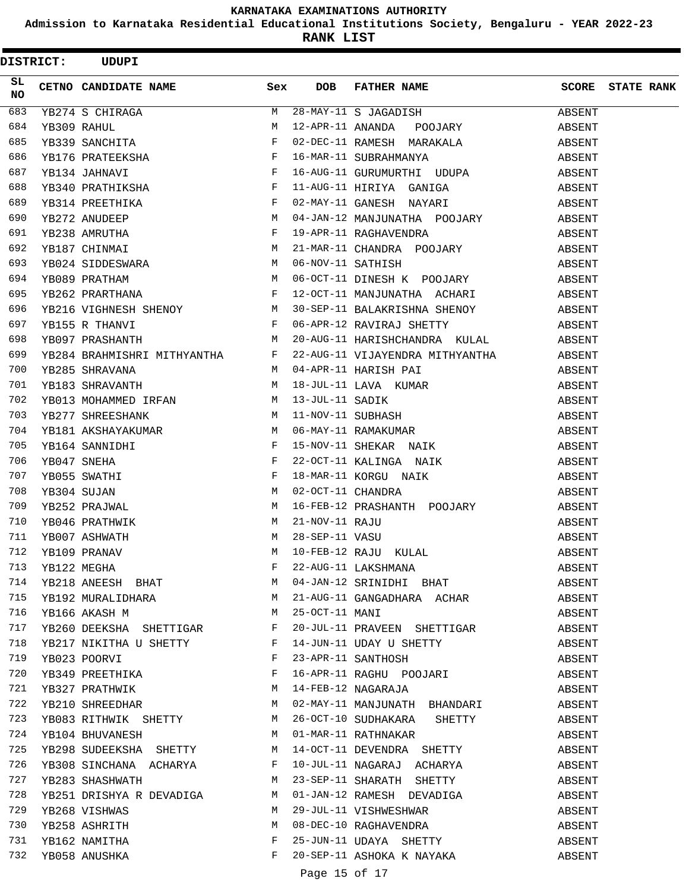**Admission to Karnataka Residential Educational Institutions Society, Bengaluru - YEAR 2022-23**

|                 | <b>DISTRICT:</b> | <b>UDUPI</b>                                                                                                                                                                                                                   |              |                   |                                                        |                  |                         |
|-----------------|------------------|--------------------------------------------------------------------------------------------------------------------------------------------------------------------------------------------------------------------------------|--------------|-------------------|--------------------------------------------------------|------------------|-------------------------|
| SL<br><b>NO</b> |                  | CETNO CANDIDATE NAME                                                                                                                                                                                                           | Sex          | <b>DOB</b>        | FATHER NAME                                            |                  | <b>SCORE</b> STATE RANK |
| 683             |                  | YB274 S CHIRAGA M<br>YB309 RAHUL M<br>YB339 SANCHITA F<br>YB176 PRATEEKSHA F<br>YB134 JAHNAVI F<br>YB134 JAHNAVI F                                                                                                             | M            |                   | 28-MAY-11 S JAGADISH                                   | ABSENT           |                         |
| 684             |                  |                                                                                                                                                                                                                                |              |                   | 12-APR-11 ANANDA POOJARY                               | ABSENT           |                         |
| 685             |                  |                                                                                                                                                                                                                                |              |                   | 02-DEC-11 RAMESH MARAKALA                              | ABSENT           |                         |
| 686             |                  |                                                                                                                                                                                                                                |              |                   | 16-MAR-11 SUBRAHMANYA                                  | ABSENT           |                         |
| 687             |                  |                                                                                                                                                                                                                                |              |                   | 16-AUG-11 GURUMURTHI UDUPA                             | ABSENT           |                         |
| 688             |                  | YB340 PRATHIKSHA F                                                                                                                                                                                                             |              |                   | 11-AUG-11 HIRIYA GANIGA                                | ABSENT           |                         |
| 689             |                  | $\mathbf{F}$ and $\mathbf{F}$ are $\mathbf{F}$<br>YB314 PREETHIKA                                                                                                                                                              |              |                   | 02-MAY-11 GANESH NAYARI                                | ABSENT           |                         |
| 690             |                  |                                                                                                                                                                                                                                |              |                   | 04-JAN-12 MANJUNATHA POOJARY                           | ABSENT           |                         |
| 691             |                  | THE PRESIDENT PRESIDENT PRESIDENT PRESIDENT PRESIDENT PRESIDENT PRESIDENT PRESIDENT PRESIDENT PRESIDENT PRESIDENT PRESIDENT PRESIDENT PRESIDENT PRESIDENT PRESIDENT PRESIDENT PRESIDENT PRESIDENT PRESIDENT PRESIDENT PRESIDEN |              |                   | 19-APR-11 RAGHAVENDRA                                  | ABSENT           |                         |
| 692             |                  | $\mathbf M$<br>YB187 CHINMAI                                                                                                                                                                                                   |              |                   | 21-MAR-11 CHANDRA POOJARY                              | ABSENT           |                         |
| 693             |                  | YB024 SIDDESWARA M<br>YB089 PRATHAM M<br>YB262 PRARTHANA F                                                                                                                                                                     |              |                   | 06-NOV-11 SATHISH                                      | ABSENT           |                         |
| 694             |                  |                                                                                                                                                                                                                                |              |                   | 06-OCT-11 DINESH K POOJARY                             | ABSENT           |                         |
| 695             |                  |                                                                                                                                                                                                                                |              |                   | 12-OCT-11 MANJUNATHA ACHARI                            | ABSENT           |                         |
| 696             |                  | YB216 VIGHNESH SHENOY M                                                                                                                                                                                                        |              |                   | 30-SEP-11 BALAKRISHNA SHENOY                           | ABSENT           |                         |
| 697             |                  | $\mathbf{F}$<br>YB155 R THANVI                                                                                                                                                                                                 |              |                   | 06-APR-12 RAVIRAJ SHETTY                               | ABSENT           |                         |
| 698             |                  | YB097 PRASHANTH                                                                                                                                                                                                                | M            |                   | 20-AUG-11 HARISHCHANDRA KULAL                          | ABSENT           |                         |
| 699             |                  | YB284 BRAHMISHRI MITHYANTHA F                                                                                                                                                                                                  |              |                   | 22-AUG-11 VIJAYENDRA MITHYANTHA                        | ABSENT           |                         |
| 700             |                  | M<br>YB285 SHRAVANA                                                                                                                                                                                                            |              |                   | 04-APR-11 HARISH PAI                                   | ABSENT           |                         |
| 701             |                  | YB183 SHRAVANTH                                                                                                                                                                                                                | <b>M</b>     |                   | 18-JUL-11 LAVA KUMAR                                   | ABSENT           |                         |
| 702             |                  | YB013 MOHAMMED IRFAN M                                                                                                                                                                                                         |              |                   | 13-JUL-11 SADIK<br>11-NOV-11 SUBHASH<br>06-MAV 11 DIVI | ABSENT           |                         |
| 703             |                  | YB277 SHREESHANK                                                                                                                                                                                                               | M            |                   |                                                        | ABSENT           |                         |
| 704             |                  | YB181 AKSHAYAKUMAR                                                                                                                                                                                                             | M            |                   | 06-MAY-11 RAMAKUMAR                                    | ABSENT           |                         |
| 705             |                  | YB164 SANNIDHI                                                                                                                                                                                                                 | F            |                   | 15-NOV-11 SHEKAR NAIK                                  | ABSENT           |                         |
| 706             |                  | YB047 SNEHA                                                                                                                                                                                                                    | $_{\rm F}$   |                   | 22-OCT-11 KALINGA NAIK                                 | ABSENT           |                         |
| 707             |                  | YB055 SWATHI                                                                                                                                                                                                                   | F            |                   | 18-MAR-11 KORGU NAIK                                   | ABSENT           |                         |
| 708             |                  | YB304 SUJAN                                                                                                                                                                                                                    | M            | 02-OCT-11 CHANDRA |                                                        | ABSENT           |                         |
| 709             |                  | YB252 PRAJWAL                                                                                                                                                                                                                  | M            |                   | 16-FEB-12 PRASHANTH POOJARY                            | ABSENT           |                         |
| 710             |                  | YB046 PRATHWIK                                                                                                                                                                                                                 | M            | 21-NOV-11 RAJU    |                                                        | ABSENT           |                         |
| 711             |                  | YB007 ASHWATH                                                                                                                                                                                                                  | M            | 28-SEP-11 VASU    |                                                        | ABSENT           |                         |
| 712             |                  | YB109 PRANAV                                                                                                                                                                                                                   | M            |                   | 10-FEB-12 RAJU KULAL                                   | ABSENT           |                         |
| 713             |                  | YB122 MEGHA F<br>YB218 ANEESH BHAT M                                                                                                                                                                                           |              |                   | 22-AUG-11 LAKSHMANA                                    | ABSENT           |                         |
| 714             |                  |                                                                                                                                                                                                                                |              |                   | 04-JAN-12 SRINIDHI BHAT                                | ABSENT           |                         |
| 715             |                  | YB192 MURALIDHARA M                                                                                                                                                                                                            |              |                   | 21-AUG-11 GANGADHARA ACHAR                             | ABSENT           |                         |
| 716             |                  | <b>M</b><br>YB166 AKASH M                                                                                                                                                                                                      |              | 25-OCT-11 MANI    |                                                        | ABSENT           |                         |
| 717             |                  | YB260 DEEKSHA SHETTIGAR F                                                                                                                                                                                                      |              |                   | 20-JUL-11 PRAVEEN SHETTIGAR                            | ABSENT           |                         |
| 718             |                  | YB217 NIKITHA U SHETTY F                                                                                                                                                                                                       |              |                   | 14-JUN-11 UDAY U SHETTY                                | ABSENT           |                         |
| 719             |                  | YB023 POORVI                                                                                                                                                                                                                   | $\mathbf{F}$ |                   | 23-APR-11 SANTHOSH                                     | ABSENT           |                         |
| 720             |                  | $\mathbf{F}$ and the set of $\mathbf{F}$<br>YB349 PREETHIKA                                                                                                                                                                    |              |                   | 16-APR-11 RAGHU POOJARI                                | ABSENT           |                         |
| 721             |                  | YB327 PRATHWIK                                                                                                                                                                                                                 | M            |                   | 14-FEB-12 NAGARAJA                                     | ABSENT           |                         |
| 722             |                  | YB210 SHREEDHAR M                                                                                                                                                                                                              |              |                   | 02-MAY-11 MANJUNATH BHANDARI                           | ABSENT           |                         |
| 723             |                  | YB083 RITHWIK SHETTY M                                                                                                                                                                                                         |              |                   | 26-OCT-10 SUDHAKARA SHETTY                             | ABSENT           |                         |
| 724             |                  | M<br>YB104 BHUVANESH                                                                                                                                                                                                           |              |                   | 01-MAR-11 RATHNAKAR                                    | ABSENT           |                         |
| 725             |                  | YB298 SUDEEKSHA SHETTY M                                                                                                                                                                                                       |              |                   | 14-OCT-11 DEVENDRA SHETTY                              | ABSENT           |                         |
| 726             |                  | YB308 SINCHANA ACHARYA F                                                                                                                                                                                                       |              |                   | 10-JUL-11 NAGARAJ ACHARYA                              | ABSENT           |                         |
| 727             |                  | YB283 SHASHWATH M                                                                                                                                                                                                              |              |                   | 23-SEP-11 SHARATH SHETTY                               | ABSENT           |                         |
| 728<br>729      |                  | YB251 DRISHYA R DEVADIGA<br>YB268 VISHWAS                                                                                                                                                                                      | M<br>M       |                   | 01-JAN-12 RAMESH DEVADIGA<br>29-JUL-11 VISHWESHWAR     | ABSENT           |                         |
| 730             |                  | YB258 ASHRITH                                                                                                                                                                                                                  | М            |                   |                                                        | ABSENT<br>ABSENT |                         |
| 731             |                  | YB162 NAMITHA                                                                                                                                                                                                                  | F            |                   | 08-DEC-10 RAGHAVENDRA<br>25-JUN-11 UDAYA SHETTY        | ABSENT           |                         |
| 732             |                  | YB058 ANUSHKA                                                                                                                                                                                                                  | F            |                   | 20-SEP-11 ASHOKA K NAYAKA                              | ABSENT           |                         |
|                 |                  |                                                                                                                                                                                                                                |              |                   | Page 15 of 17                                          |                  |                         |
|                 |                  |                                                                                                                                                                                                                                |              |                   |                                                        |                  |                         |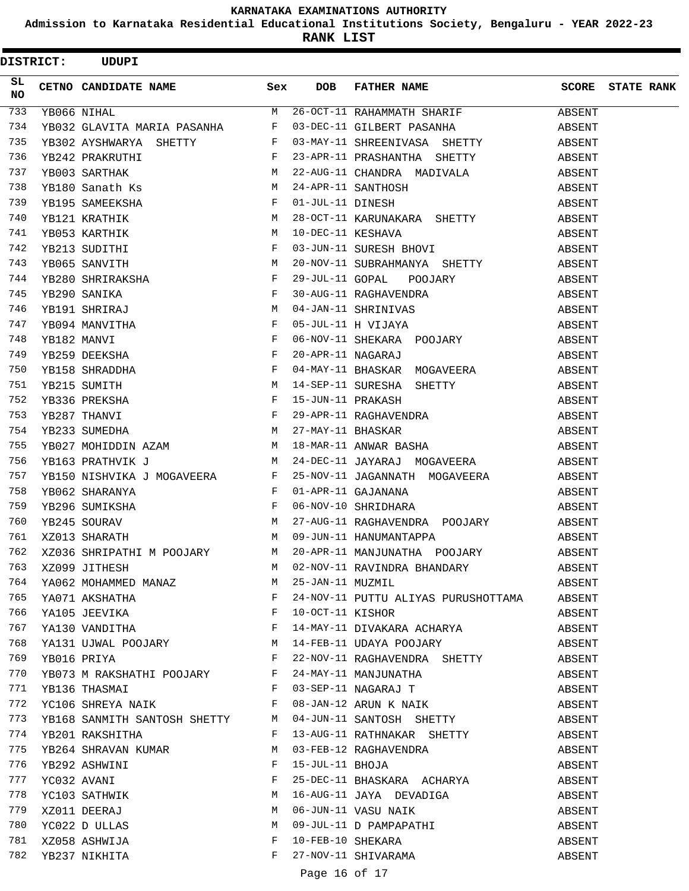**Admission to Karnataka Residential Educational Institutions Society, Bengaluru - YEAR 2022-23**

**RANK LIST**

 $\text{DISTRICT:}$  UDUPI

| SL<br><b>NO</b> | CETNO CANDIDATE NAME Sex DOB                                  |              |                  | FATHER NAME SCORE STATE RANK                                                                                                                                                                                                           |        |  |
|-----------------|---------------------------------------------------------------|--------------|------------------|----------------------------------------------------------------------------------------------------------------------------------------------------------------------------------------------------------------------------------------|--------|--|
| 733             | YB066 NIHAL                                                   |              |                  | M 26-OCT-11 RAHAMMATH SHARIF ABSENT                                                                                                                                                                                                    |        |  |
| 734             |                                                               |              |                  | YB032 GLAVITA MARIA PASANHA F 03-DEC-11 GILBERT PASANHA                                                                                                                                                                                | ABSENT |  |
| 735             |                                                               |              |                  |                                                                                                                                                                                                                                        |        |  |
| 736             |                                                               |              |                  |                                                                                                                                                                                                                                        |        |  |
| 737             |                                                               |              |                  |                                                                                                                                                                                                                                        |        |  |
| 738             |                                                               |              |                  |                                                                                                                                                                                                                                        |        |  |
| 739             |                                                               |              |                  |                                                                                                                                                                                                                                        |        |  |
| 740             |                                                               |              |                  |                                                                                                                                                                                                                                        |        |  |
| 741             |                                                               |              |                  |                                                                                                                                                                                                                                        |        |  |
| 742             |                                                               |              |                  |                                                                                                                                                                                                                                        |        |  |
| 743             |                                                               |              |                  |                                                                                                                                                                                                                                        |        |  |
| 744             |                                                               |              |                  |                                                                                                                                                                                                                                        |        |  |
| 745             |                                                               |              |                  |                                                                                                                                                                                                                                        |        |  |
| 746             |                                                               |              |                  |                                                                                                                                                                                                                                        |        |  |
| 747             |                                                               |              |                  |                                                                                                                                                                                                                                        |        |  |
| 748             |                                                               |              |                  |                                                                                                                                                                                                                                        |        |  |
| 749             |                                                               |              |                  |                                                                                                                                                                                                                                        |        |  |
| 750             |                                                               |              |                  |                                                                                                                                                                                                                                        |        |  |
| 751             |                                                               |              |                  |                                                                                                                                                                                                                                        |        |  |
| 752             |                                                               |              |                  |                                                                                                                                                                                                                                        |        |  |
| 753             |                                                               |              |                  |                                                                                                                                                                                                                                        |        |  |
| 754             |                                                               |              |                  |                                                                                                                                                                                                                                        |        |  |
| 755             |                                                               |              |                  |                                                                                                                                                                                                                                        |        |  |
| 756             |                                                               |              |                  | YB163 PRATHVIK J M 24-DEC-11 JAYARAJ MOGAVEERA ABSENT                                                                                                                                                                                  |        |  |
| 757             |                                                               |              |                  | YB150 NISHVIKA J MOGAVEERA F 25-NOV-11 JAGANNATH MOGAVEERA ABSENT                                                                                                                                                                      |        |  |
| 758             |                                                               |              |                  |                                                                                                                                                                                                                                        |        |  |
| 759             |                                                               |              |                  |                                                                                                                                                                                                                                        |        |  |
| 760             |                                                               |              |                  | XBO62 SHARANYA F URUMANANA ABSENT<br>YBO62 SHARANYA F 01-APR-11 GAJANANA ABSENT<br>YB296 SUMIKSHA F 06-NOV-10 SHRIDHARA ABSENT<br>YB245 SOURAV M 27-AUG-11 RAGHAVENDRA POOJARY ABSENT<br>XZ013 SHARATH M 09-JUN-11 HANUMANTAPPA ABSENT |        |  |
| 761             |                                                               |              |                  |                                                                                                                                                                                                                                        |        |  |
| 762             |                                                               |              |                  | XZ036 SHRIPATHI M POOJARY M 20-APR-11 MANJUNATHA POOJARY ABSENT                                                                                                                                                                        |        |  |
| 763             | XZ099 JITHESH                                                 |              |                  | M 02-NOV-11 RAVINDRA BHANDARY                                                                                                                                                                                                          | ABSENT |  |
| 764             |                                                               |              | 25-JAN-11 MUZMIL |                                                                                                                                                                                                                                        | ABSENT |  |
| 765             | YA062 MOHAMMED MANAZ M<br>YA071 AKSHATHA F<br>YA105 JEEVIKA F |              |                  | 24-NOV-11 PUTTU ALIYAS PURUSHOTTAMA                                                                                                                                                                                                    | ABSENT |  |
| 766             |                                                               |              | 10-OCT-11 KISHOR |                                                                                                                                                                                                                                        | ABSENT |  |
| 767             | YA130 VANDITHA F                                              |              |                  | 14-MAY-11 DIVAKARA ACHARYA                                                                                                                                                                                                             | ABSENT |  |
| 768             | YA131 UJWAL POOJARY M                                         |              |                  | 14-FEB-11 UDAYA POOJARY                                                                                                                                                                                                                | ABSENT |  |
| 769             | YB016 PRIYA                                                   | $\mathbf{F}$ |                  | 22-NOV-11 RAGHAVENDRA SHETTY                                                                                                                                                                                                           | ABSENT |  |
| 770             | YB073 M RAKSHATHI POOJARY F                                   |              |                  | 24-MAY-11 MANJUNATHA                                                                                                                                                                                                                   | ABSENT |  |
| 771             | YB136 THASMAI                                                 | F            |                  | 03-SEP-11 NAGARAJ T                                                                                                                                                                                                                    | ABSENT |  |
| 772             | YC106 SHREYA NAIK                                             | F            |                  | 08-JAN-12 ARUN K NAIK                                                                                                                                                                                                                  | ABSENT |  |
| 773             | YB168 SANMITH SANTOSH SHETTY M                                |              |                  | 04-JUN-11 SANTOSH SHETTY                                                                                                                                                                                                               | ABSENT |  |
| 774             | YB201 RAKSHITHA                                               | F            |                  | 13-AUG-11 RATHNAKAR SHETTY                                                                                                                                                                                                             | ABSENT |  |
| 775             | YB264 SHRAVAN KUMAR                                           | M            |                  | 03-FEB-12 RAGHAVENDRA                                                                                                                                                                                                                  | ABSENT |  |
| 776             | YB292 ASHWINI                                                 | F            | 15-JUL-11 BHOJA  |                                                                                                                                                                                                                                        | ABSENT |  |
| 777             | YC032 AVANI                                                   | F            |                  | 25-DEC-11 BHASKARA ACHARYA                                                                                                                                                                                                             | ABSENT |  |
| 778             | YC103 SATHWIK                                                 | М            |                  | 16-AUG-11 JAYA DEVADIGA                                                                                                                                                                                                                | ABSENT |  |
| 779             | XZ011 DEERAJ                                                  | М            |                  | 06-JUN-11 VASU NAIK                                                                                                                                                                                                                    | ABSENT |  |
| 780             | YC022 D ULLAS                                                 | M            |                  |                                                                                                                                                                                                                                        | ABSENT |  |
| 781             | XZ058 ASHWIJA                                                 | F            |                  | 09-JUL-11 D PAMPAPATHI<br>10-FEB-10 SHEKARA                                                                                                                                                                                            | ABSENT |  |
| 782             | YB237 NIKHITA                                                 | F            |                  | 27-NOV-11 SHIVARAMA                                                                                                                                                                                                                    | ABSENT |  |
|                 |                                                               |              | Page 16 of 17    |                                                                                                                                                                                                                                        |        |  |